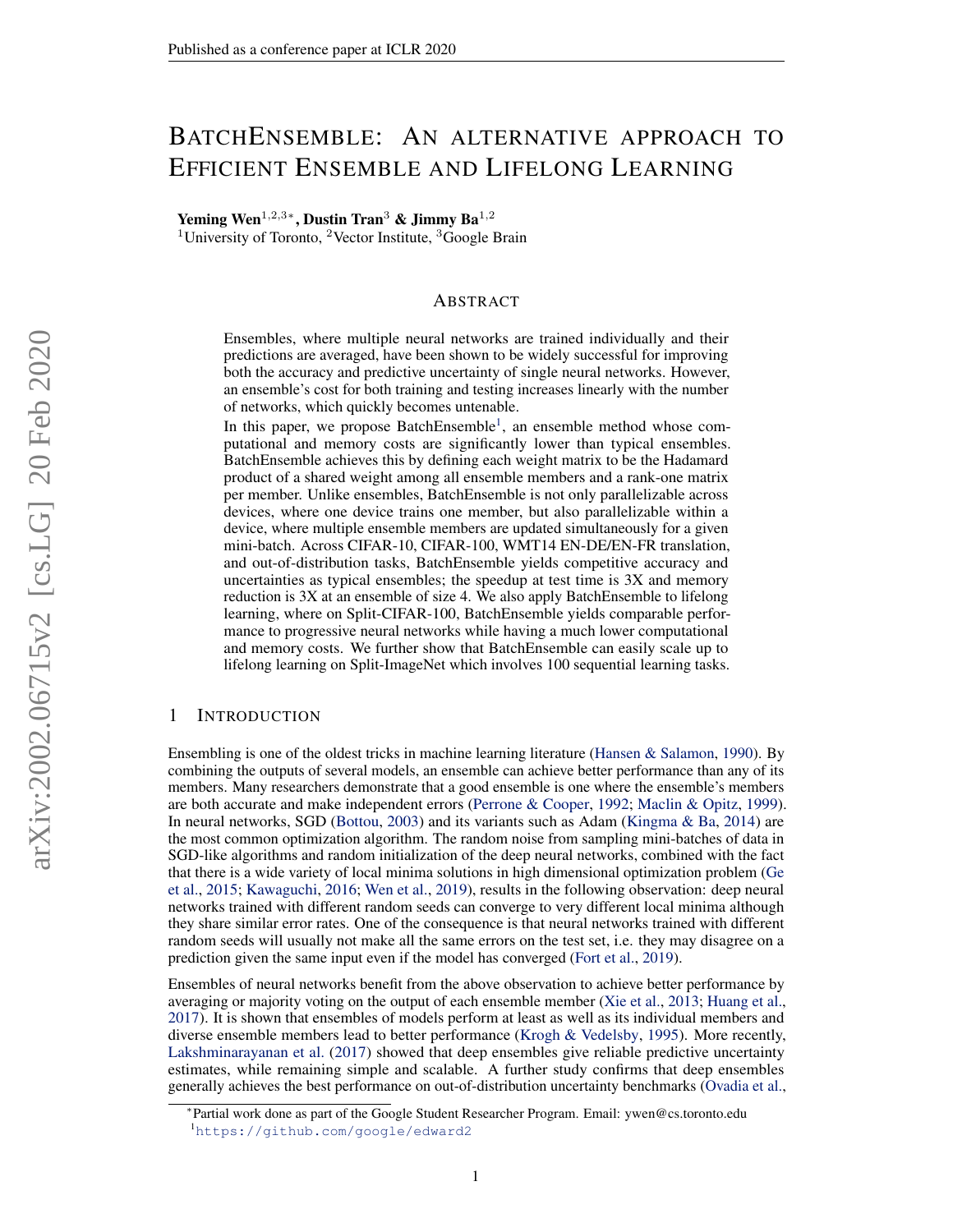# <span id="page-0-0"></span>BATCHENSEMBLE: AN ALTERNATIVE APPROACH TO EFFICIENT ENSEMBLE AND LIFELONG LEARNING

Yeming Wen<sup>1,2,3</sup>\*, Dustin Tran<sup>3</sup> & Jimmy Ba<sup>1,2</sup>

<sup>1</sup>University of Toronto, <sup>2</sup>Vector Institute, <sup>3</sup>Google Brain

## ABSTRACT

Ensembles, where multiple neural networks are trained individually and their predictions are averaged, have been shown to be widely successful for improving both the accuracy and predictive uncertainty of single neural networks. However, an ensemble's cost for both training and testing increases linearly with the number of networks, which quickly becomes untenable.

In this paper, we propose BatchEnsemble<sup>1</sup>, an ensemble method whose computational and memory costs are significantly lower than typical ensembles. BatchEnsemble achieves this by defining each weight matrix to be the Hadamard product of a shared weight among all ensemble members and a rank-one matrix per member. Unlike ensembles, BatchEnsemble is not only parallelizable across devices, where one device trains one member, but also parallelizable within a device, where multiple ensemble members are updated simultaneously for a given mini-batch. Across CIFAR-10, CIFAR-100, WMT14 EN-DE/EN-FR translation, and out-of-distribution tasks, BatchEnsemble yields competitive accuracy and uncertainties as typical ensembles; the speedup at test time is 3X and memory reduction is 3X at an ensemble of size 4. We also apply BatchEnsemble to lifelong learning, where on Split-CIFAR-100, BatchEnsemble yields comparable performance to progressive neural networks while having a much lower computational and memory costs. We further show that BatchEnsemble can easily scale up to lifelong learning on Split-ImageNet which involves 100 sequential learning tasks.

## 1 INTRODUCTION

Ensembling is one of the oldest tricks in machine learning literature [\(Hansen & Salamon,](#page-10-0) [1990\)](#page-10-0). By combining the outputs of several models, an ensemble can achieve better performance than any of its members. Many researchers demonstrate that a good ensemble is one where the ensemble's members are both accurate and make independent errors [\(Perrone & Cooper,](#page-12-0) [1992;](#page-12-0) [Maclin & Opitz,](#page-11-0) [1999\)](#page-11-0). In neural networks, SGD [\(Bottou,](#page-10-1) [2003\)](#page-10-1) and its variants such as Adam [\(Kingma & Ba,](#page-11-1) [2014\)](#page-11-1) are the most common optimization algorithm. The random noise from sampling mini-batches of data in SGD-like algorithms and random initialization of the deep neural networks, combined with the fact that there is a wide variety of local minima solutions in high dimensional optimization problem [\(Ge](#page-10-2) [et al.,](#page-10-2) [2015;](#page-10-2) [Kawaguchi,](#page-11-2) [2016;](#page-11-2) [Wen et al.,](#page-12-1) [2019\)](#page-12-1), results in the following observation: deep neural networks trained with different random seeds can converge to very different local minima although they share similar error rates. One of the consequence is that neural networks trained with different random seeds will usually not make all the same errors on the test set, i.e. they may disagree on a prediction given the same input even if the model has converged [\(Fort et al.,](#page-10-3) [2019\)](#page-10-3).

Ensembles of neural networks benefit from the above observation to achieve better performance by averaging or majority voting on the output of each ensemble member [\(Xie et al.,](#page-12-2) [2013;](#page-12-2) [Huang et al.,](#page-11-3) [2017\)](#page-11-3). It is shown that ensembles of models perform at least as well as its individual members and diverse ensemble members lead to better performance [\(Krogh & Vedelsby,](#page-11-4) [1995\)](#page-11-4). More recently, [Lakshminarayanan et al.](#page-11-5) [\(2017\)](#page-11-5) showed that deep ensembles give reliable predictive uncertainty estimates, while remaining simple and scalable. A further study confirms that deep ensembles generally achieves the best performance on out-of-distribution uncertainty benchmarks [\(Ovadia et al.,](#page-11-6)

<sup>∗</sup> Partial work done as part of the Google Student Researcher Program. Email: ywen@cs.toronto.edu <sup>1</sup><https://github.com/google/edward2>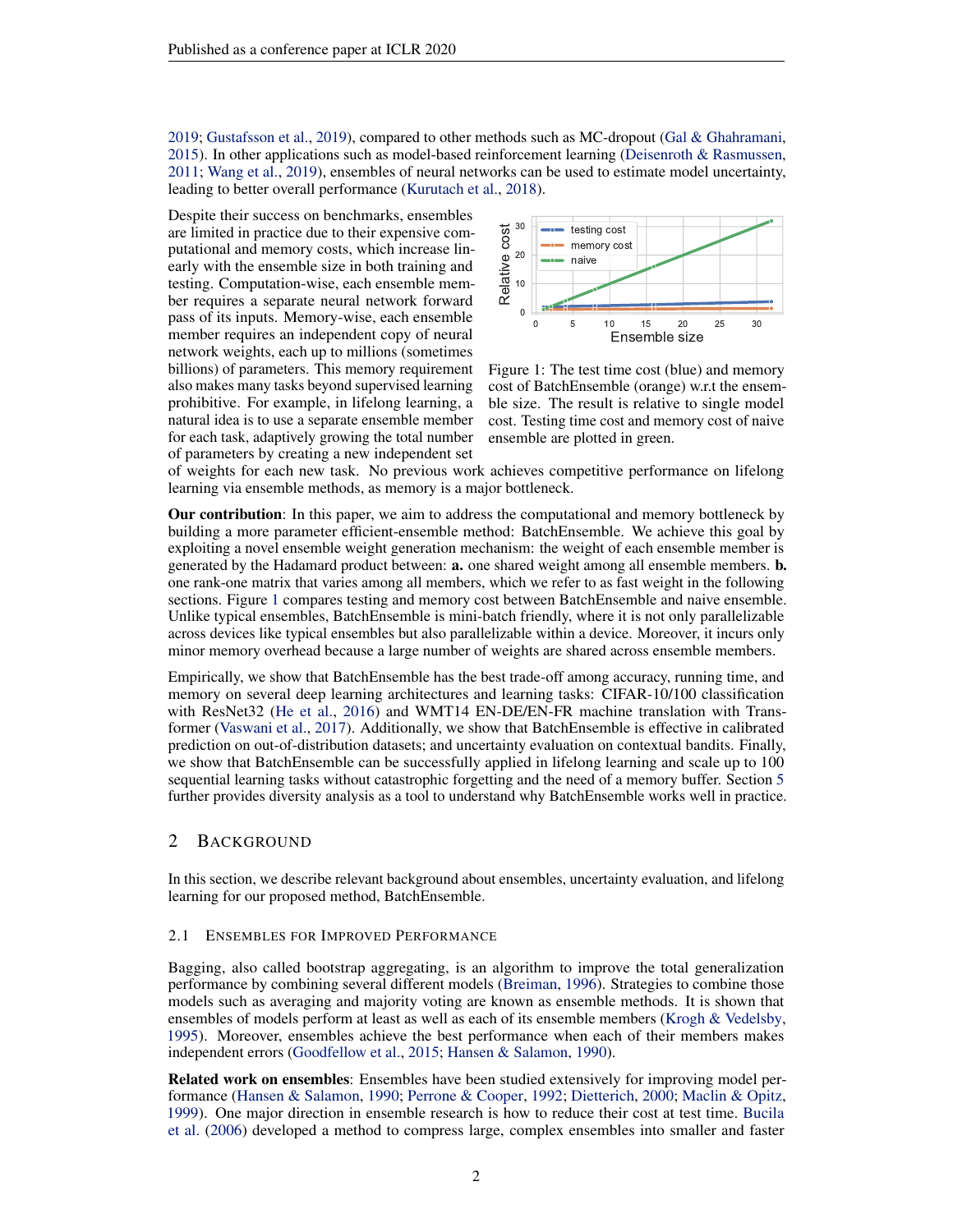[2019;](#page-11-6) [Gustafsson et al.,](#page-10-4) [2019\)](#page-10-4), compared to other methods such as MC-dropout [\(Gal & Ghahramani,](#page-10-5) [2015\)](#page-10-5). In other applications such as model-based reinforcement learning [\(Deisenroth & Rasmussen,](#page-10-6) [2011;](#page-10-6) [Wang et al.,](#page-12-3) [2019\)](#page-12-3), ensembles of neural networks can be used to estimate model uncertainty, leading to better overall performance [\(Kurutach et al.,](#page-11-7) [2018\)](#page-11-7).

Despite their success on benchmarks, ensembles are limited in practice due to their expensive computational and memory costs, which increase linearly with the ensemble size in both training and testing. Computation-wise, each ensemble member requires a separate neural network forward pass of its inputs. Memory-wise, each ensemble member requires an independent copy of neural network weights, each up to millions (sometimes billions) of parameters. This memory requirement also makes many tasks beyond supervised learning prohibitive. For example, in lifelong learning, a natural idea is to use a separate ensemble member for each task, adaptively growing the total number of parameters by creating a new independent set

<span id="page-1-0"></span>

Figure 1: The test time cost (blue) and memory cost of BatchEnsemble (orange) w.r.t the ensemble size. The result is relative to single model cost. Testing time cost and memory cost of naive ensemble are plotted in green.

of weights for each new task. No previous work achieves competitive performance on lifelong learning via ensemble methods, as memory is a major bottleneck.

Our contribution: In this paper, we aim to address the computational and memory bottleneck by building a more parameter efficient-ensemble method: BatchEnsemble. We achieve this goal by exploiting a novel ensemble weight generation mechanism: the weight of each ensemble member is generated by the Hadamard product between: a. one shared weight among all ensemble members. b. one rank-one matrix that varies among all members, which we refer to as fast weight in the following sections. Figure [1](#page-1-0) compares testing and memory cost between BatchEnsemble and naive ensemble. Unlike typical ensembles, BatchEnsemble is mini-batch friendly, where it is not only parallelizable across devices like typical ensembles but also parallelizable within a device. Moreover, it incurs only minor memory overhead because a large number of weights are shared across ensemble members.

Empirically, we show that BatchEnsemble has the best trade-off among accuracy, running time, and memory on several deep learning architectures and learning tasks: CIFAR-10/100 classification with ResNet32 [\(He et al.,](#page-10-7) [2016\)](#page-10-7) and WMT14 EN-DE/EN-FR machine translation with Transformer [\(Vaswani et al.,](#page-12-4) [2017\)](#page-12-4). Additionally, we show that BatchEnsemble is effective in calibrated prediction on out-of-distribution datasets; and uncertainty evaluation on contextual bandits. Finally, we show that BatchEnsemble can be successfully applied in lifelong learning and scale up to 100 sequential learning tasks without catastrophic forgetting and the need of a memory buffer. Section [5](#page-9-0) further provides diversity analysis as a tool to understand why BatchEnsemble works well in practice.

## <span id="page-1-1"></span>2 BACKGROUND

In this section, we describe relevant background about ensembles, uncertainty evaluation, and lifelong learning for our proposed method, BatchEnsemble.

#### 2.1 ENSEMBLES FOR IMPROVED PERFORMANCE

Bagging, also called bootstrap aggregating, is an algorithm to improve the total generalization performance by combining several different models [\(Breiman,](#page-10-8) [1996\)](#page-10-8). Strategies to combine those models such as averaging and majority voting are known as ensemble methods. It is shown that ensembles of models perform at least as well as each of its ensemble members [\(Krogh & Vedelsby,](#page-11-4) [1995\)](#page-11-4). Moreover, ensembles achieve the best performance when each of their members makes independent errors [\(Goodfellow et al.,](#page-10-9) [2015;](#page-10-9) [Hansen & Salamon,](#page-10-0) [1990\)](#page-10-0).

Related work on ensembles: Ensembles have been studied extensively for improving model performance [\(Hansen & Salamon,](#page-10-0) [1990;](#page-10-0) [Perrone & Cooper,](#page-12-0) [1992;](#page-12-0) [Dietterich,](#page-10-10) [2000;](#page-10-10) [Maclin & Opitz,](#page-11-0) [1999\)](#page-11-0). One major direction in ensemble research is how to reduce their cost at test time. [Bucila](#page-10-11) [et al.](#page-10-11) [\(2006\)](#page-10-11) developed a method to compress large, complex ensembles into smaller and faster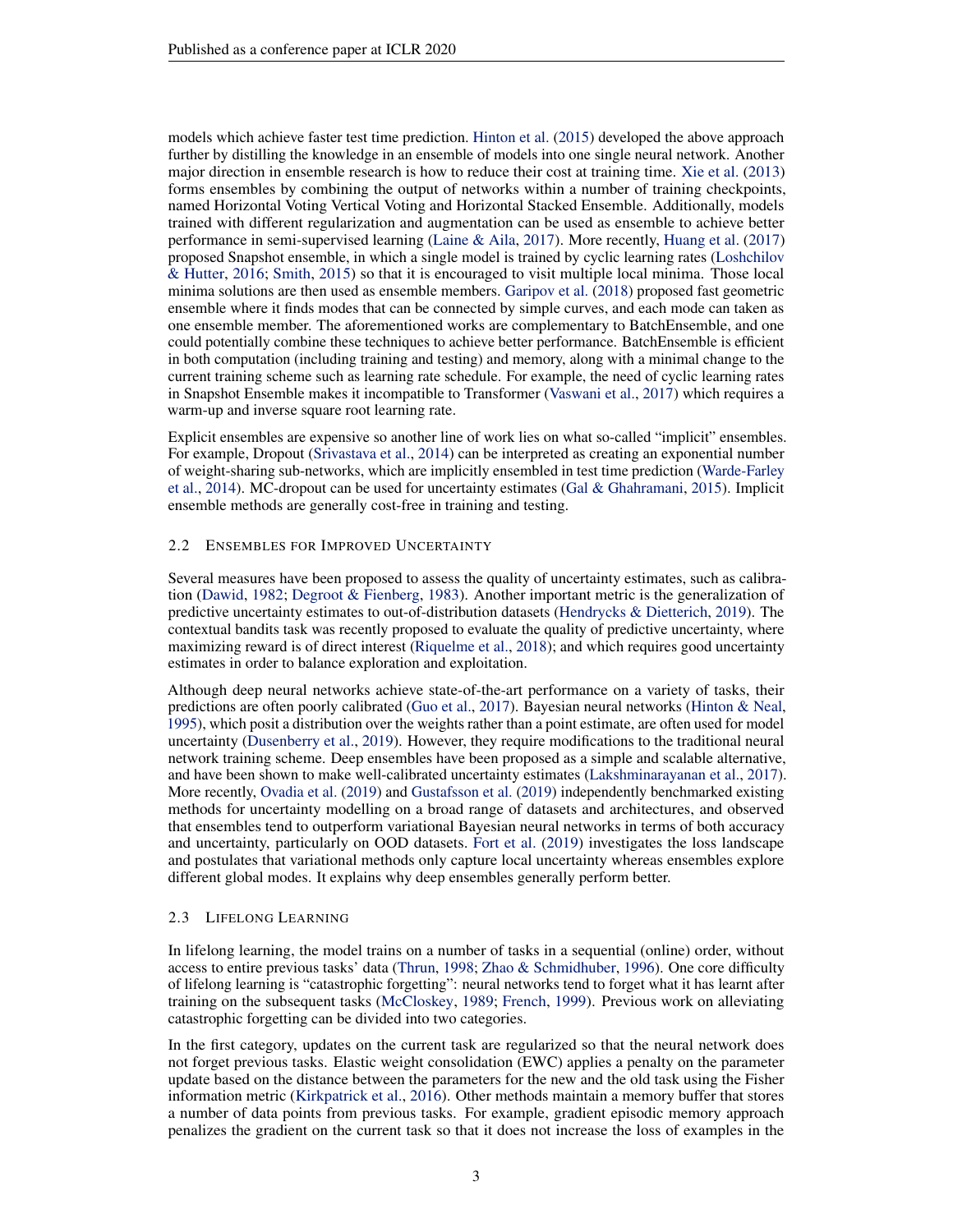models which achieve faster test time prediction. [Hinton et al.](#page-11-8) [\(2015\)](#page-11-8) developed the above approach further by distilling the knowledge in an ensemble of models into one single neural network. Another major direction in ensemble research is how to reduce their cost at training time. [Xie et al.](#page-12-2) [\(2013\)](#page-12-2) forms ensembles by combining the output of networks within a number of training checkpoints, named Horizontal Voting Vertical Voting and Horizontal Stacked Ensemble. Additionally, models trained with different regularization and augmentation can be used as ensemble to achieve better performance in semi-supervised learning [\(Laine & Aila,](#page-11-9) [2017\)](#page-11-9). More recently, [Huang et al.](#page-11-3) [\(2017\)](#page-11-3) proposed Snapshot ensemble, in which a single model is trained by cyclic learning rates [\(Loshchilov](#page-11-10) [& Hutter,](#page-11-10) [2016;](#page-11-10) [Smith,](#page-12-5) [2015\)](#page-12-5) so that it is encouraged to visit multiple local minima. Those local minima solutions are then used as ensemble members. [Garipov et al.](#page-10-12) [\(2018\)](#page-10-12) proposed fast geometric ensemble where it finds modes that can be connected by simple curves, and each mode can taken as one ensemble member. The aforementioned works are complementary to BatchEnsemble, and one could potentially combine these techniques to achieve better performance. BatchEnsemble is efficient in both computation (including training and testing) and memory, along with a minimal change to the current training scheme such as learning rate schedule. For example, the need of cyclic learning rates in Snapshot Ensemble makes it incompatible to Transformer [\(Vaswani et al.,](#page-12-4) [2017\)](#page-12-4) which requires a warm-up and inverse square root learning rate.

Explicit ensembles are expensive so another line of work lies on what so-called "implicit" ensembles. For example, Dropout [\(Srivastava et al.,](#page-12-6) [2014\)](#page-12-6) can be interpreted as creating an exponential number of weight-sharing sub-networks, which are implicitly ensembled in test time prediction [\(Warde-Farley](#page-12-7) [et al.,](#page-12-7) [2014\)](#page-12-7). MC-dropout can be used for uncertainty estimates [\(Gal & Ghahramani,](#page-10-5) [2015\)](#page-10-5). Implicit ensemble methods are generally cost-free in training and testing.

#### 2.2 ENSEMBLES FOR IMPROVED UNCERTAINTY

Several measures have been proposed to assess the quality of uncertainty estimates, such as calibration [\(Dawid,](#page-10-13) [1982;](#page-10-13) [Degroot & Fienberg,](#page-10-14) [1983\)](#page-10-14). Another important metric is the generalization of predictive uncertainty estimates to out-of-distribution datasets [\(Hendrycks & Dietterich,](#page-10-15) [2019\)](#page-10-15). The contextual bandits task was recently proposed to evaluate the quality of predictive uncertainty, where maximizing reward is of direct interest [\(Riquelme et al.,](#page-12-8) [2018\)](#page-12-8); and which requires good uncertainty estimates in order to balance exploration and exploitation.

Although deep neural networks achieve state-of-the-art performance on a variety of tasks, their predictions are often poorly calibrated [\(Guo et al.,](#page-10-16) [2017\)](#page-10-16). Bayesian neural networks [\(Hinton & Neal,](#page-11-11) [1995\)](#page-11-11), which posit a distribution over the weights rather than a point estimate, are often used for model uncertainty [\(Dusenberry et al.,](#page-10-17) [2019\)](#page-10-17). However, they require modifications to the traditional neural network training scheme. Deep ensembles have been proposed as a simple and scalable alternative, and have been shown to make well-calibrated uncertainty estimates [\(Lakshminarayanan et al.,](#page-11-5) [2017\)](#page-11-5). More recently, [Ovadia et al.](#page-11-6) [\(2019\)](#page-11-6) and [Gustafsson et al.](#page-10-4) [\(2019\)](#page-10-4) independently benchmarked existing methods for uncertainty modelling on a broad range of datasets and architectures, and observed that ensembles tend to outperform variational Bayesian neural networks in terms of both accuracy and uncertainty, particularly on OOD datasets. [Fort et al.](#page-10-3) [\(2019\)](#page-10-3) investigates the loss landscape and postulates that variational methods only capture local uncertainty whereas ensembles explore different global modes. It explains why deep ensembles generally perform better.

#### 2.3 LIFELONG LEARNING

In lifelong learning, the model trains on a number of tasks in a sequential (online) order, without access to entire previous tasks' data [\(Thrun,](#page-12-9) [1998;](#page-12-9) [Zhao & Schmidhuber,](#page-13-0) [1996\)](#page-13-0). One core difficulty of lifelong learning is "catastrophic forgetting": neural networks tend to forget what it has learnt after training on the subsequent tasks [\(McCloskey,](#page-11-12) [1989;](#page-11-12) [French,](#page-10-18) [1999\)](#page-10-18). Previous work on alleviating catastrophic forgetting can be divided into two categories.

In the first category, updates on the current task are regularized so that the neural network does not forget previous tasks. Elastic weight consolidation (EWC) applies a penalty on the parameter update based on the distance between the parameters for the new and the old task using the Fisher information metric [\(Kirkpatrick et al.,](#page-11-13) [2016\)](#page-11-13). Other methods maintain a memory buffer that stores a number of data points from previous tasks. For example, gradient episodic memory approach penalizes the gradient on the current task so that it does not increase the loss of examples in the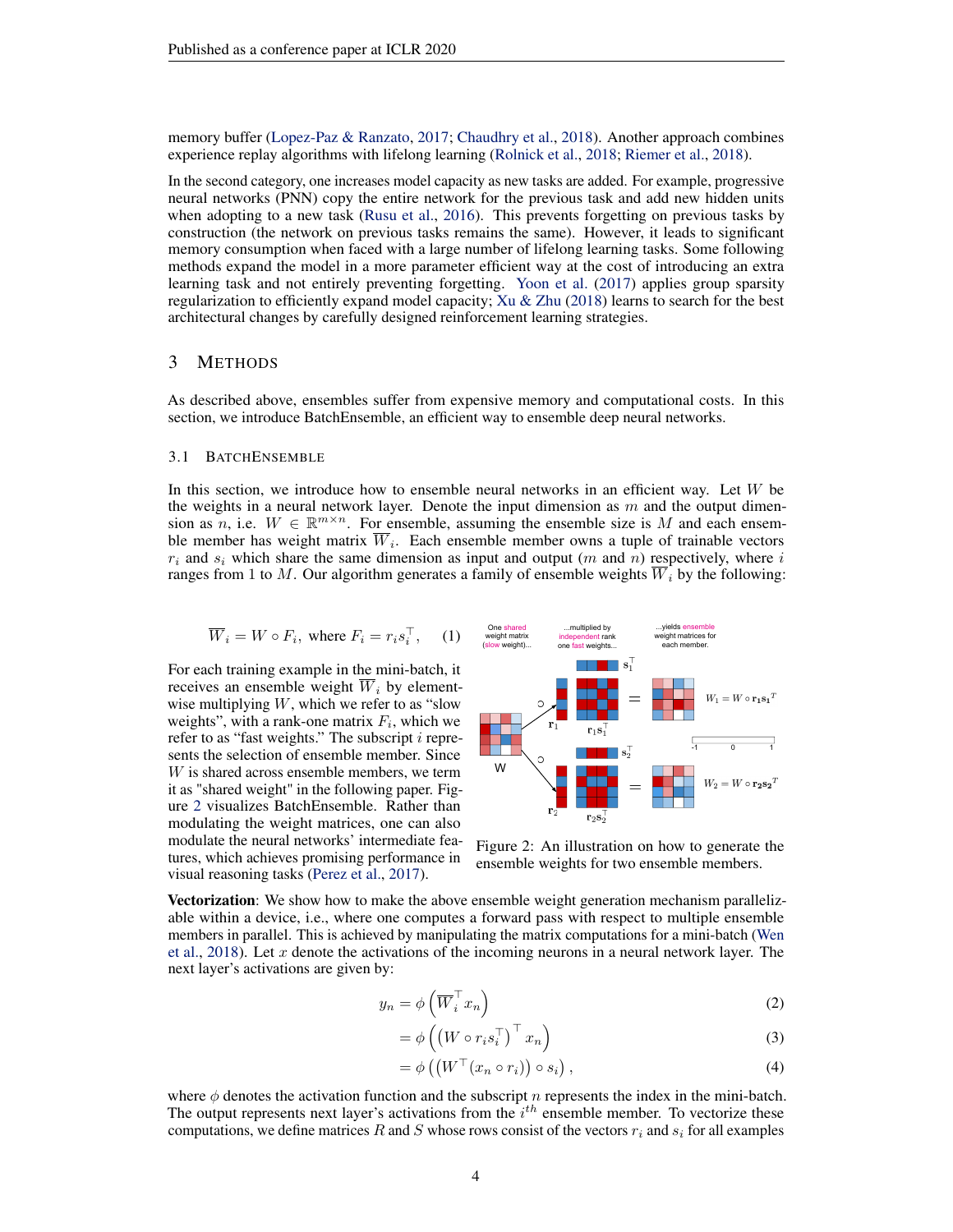memory buffer [\(Lopez-Paz & Ranzato,](#page-11-14) [2017;](#page-11-14) [Chaudhry et al.,](#page-10-19) [2018\)](#page-10-19). Another approach combines experience replay algorithms with lifelong learning [\(Rolnick et al.,](#page-12-10) [2018;](#page-12-10) [Riemer et al.,](#page-12-11) [2018\)](#page-12-11).

In the second category, one increases model capacity as new tasks are added. For example, progressive neural networks (PNN) copy the entire network for the previous task and add new hidden units when adopting to a new task [\(Rusu et al.,](#page-12-12) [2016\)](#page-12-12). This prevents forgetting on previous tasks by construction (the network on previous tasks remains the same). However, it leads to significant memory consumption when faced with a large number of lifelong learning tasks. Some following methods expand the model in a more parameter efficient way at the cost of introducing an extra learning task and not entirely preventing forgetting. [Yoon et al.](#page-13-1) [\(2017\)](#page-13-1) applies group sparsity regularization to efficiently expand model capacity; Xu  $\&$  Zhu [\(2018\)](#page-12-13) learns to search for the best architectural changes by carefully designed reinforcement learning strategies.

## 3 METHODS

As described above, ensembles suffer from expensive memory and computational costs. In this section, we introduce BatchEnsemble, an efficient way to ensemble deep neural networks.

#### <span id="page-3-1"></span>3.1 BATCHENSEMBLE

In this section, we introduce how to ensemble neural networks in an efficient way. Let W be the weights in a neural network layer. Denote the input dimension as  $m$  and the output dimension as n, i.e.  $W \in \mathbb{R}^{m \times n}$ . For ensemble, assuming the ensemble size is M and each ensemble member has weight matrix  $\overline{W}_i$ . Each ensemble member owns a tuple of trainable vectors  $r_i$  and  $s_i$  which share the same dimension as input and output (m and n) respectively, where i ranges from 1 to M. Our algorithm generates a family of ensemble weights  $\overline{W}_i$  by the following:

<span id="page-3-2"></span>
$$
\overline{W}_i = W \circ F_i, \text{ where } F_i = r_i s_i^{\top}, \quad (1)
$$

For each training example in the mini-batch, it receives an ensemble weight  $\overline{W}_i$  by elementwise multiplying  $W$ , which we refer to as "slow weights", with a rank-one matrix  $F_i$ , which we refer to as "fast weights." The subscript  $i$  represents the selection of ensemble member. Since W is shared across ensemble members, we term it as "shared weight" in the following paper. Figure [2](#page-3-0) visualizes BatchEnsemble. Rather than modulating the weight matrices, one can also modulate the neural networks' intermediate features, which achieves promising performance in visual reasoning tasks [\(Perez et al.,](#page-11-15) [2017\)](#page-11-15).

<span id="page-3-0"></span>

Figure 2: An illustration on how to generate the ensemble weights for two ensemble members.

Vectorization: We show how to make the above ensemble weight generation mechanism parallelizable within a device, i.e., where one computes a forward pass with respect to multiple ensemble members in parallel. This is achieved by manipulating the matrix computations for a mini-batch [\(Wen](#page-12-14) [et al.,](#page-12-14) [2018\)](#page-12-14). Let x denote the activations of the incoming neurons in a neural network layer. The next layer's activations are given by:

$$
y_n = \phi\left(\overline{W}_i^\top x_n\right) \tag{2}
$$

$$
= \phi\left( \left( W \circ r_i s_i^{\top} \right)^{\top} x_n \right) \tag{3}
$$

$$
= \phi\left(\left(W^{\top}(x_n \circ r_i)\right) \circ s_i\right),\tag{4}
$$

where  $\phi$  denotes the activation function and the subscript n represents the index in the mini-batch. The output represents next layer's activations from the  $i^{th}$  ensemble member. To vectorize these computations, we define matrices R and S whose rows consist of the vectors  $r_i$  and  $s_i$  for all examples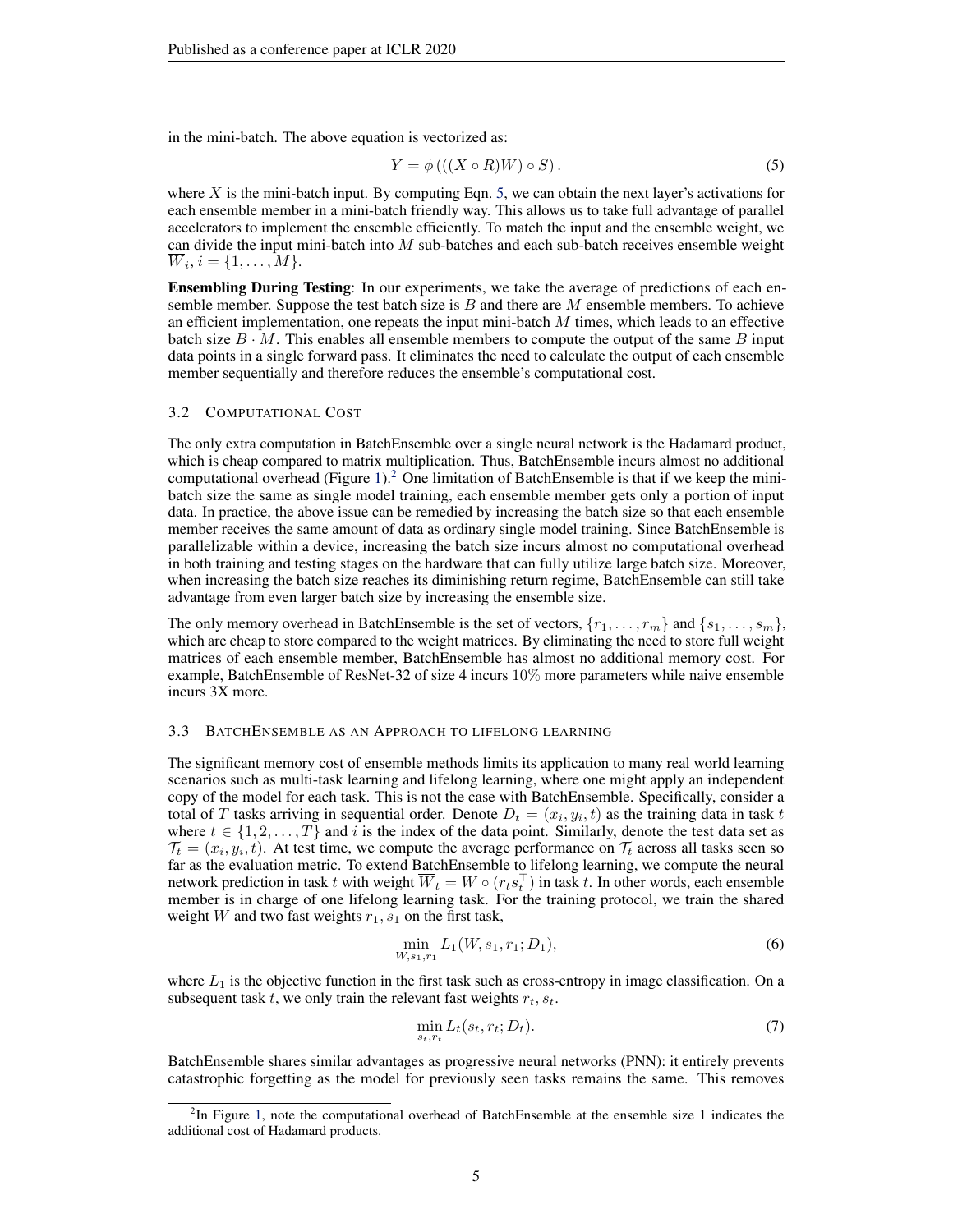in the mini-batch. The above equation is vectorized as:

<span id="page-4-0"></span>
$$
Y = \phi\left(\left(\left(X \circ R\right)W\right) \circ S\right). \tag{5}
$$

where  $X$  is the mini-batch input. By computing Eqn. [5,](#page-4-0) we can obtain the next layer's activations for each ensemble member in a mini-batch friendly way. This allows us to take full advantage of parallel accelerators to implement the ensemble efficiently. To match the input and the ensemble weight, we can divide the input mini-batch into  $M$  sub-batches and each sub-batch receives ensemble weight  $W_i, i = \{1, \ldots, M\}.$ 

Ensembling During Testing: In our experiments, we take the average of predictions of each ensemble member. Suppose the test batch size is  $B$  and there are  $M$  ensemble members. To achieve an efficient implementation, one repeats the input mini-batch  $M$  times, which leads to an effective batch size  $B \cdot M$ . This enables all ensemble members to compute the output of the same B input data points in a single forward pass. It eliminates the need to calculate the output of each ensemble member sequentially and therefore reduces the ensemble's computational cost.

#### 3.2 COMPUTATIONAL COST

The only extra computation in BatchEnsemble over a single neural network is the Hadamard product, which is cheap compared to matrix multiplication. Thus, BatchEnsemble incurs almost no additional computational overhead (Figure [1\)](#page-1-0).<sup>[2](#page-0-0)</sup> One limitation of BatchEnsemble is that if we keep the minibatch size the same as single model training, each ensemble member gets only a portion of input data. In practice, the above issue can be remedied by increasing the batch size so that each ensemble member receives the same amount of data as ordinary single model training. Since BatchEnsemble is parallelizable within a device, increasing the batch size incurs almost no computational overhead in both training and testing stages on the hardware that can fully utilize large batch size. Moreover, when increasing the batch size reaches its diminishing return regime, BatchEnsemble can still take advantage from even larger batch size by increasing the ensemble size.

The only memory overhead in BatchEnsemble is the set of vectors,  $\{r_1, \ldots, r_m\}$  and  $\{s_1, \ldots, s_m\}$ , which are cheap to store compared to the weight matrices. By eliminating the need to store full weight matrices of each ensemble member, BatchEnsemble has almost no additional memory cost. For example, BatchEnsemble of ResNet-32 of size 4 incurs 10% more parameters while naive ensemble incurs 3X more.

#### 3.3 BATCHENSEMBLE AS AN APPROACH TO LIFELONG LEARNING

The significant memory cost of ensemble methods limits its application to many real world learning scenarios such as multi-task learning and lifelong learning, where one might apply an independent copy of the model for each task. This is not the case with BatchEnsemble. Specifically, consider a total of T tasks arriving in sequential order. Denote  $D_t = (x_i, y_i, t)$  as the training data in task t where  $t \in \{1, 2, \ldots, T\}$  and i is the index of the data point. Similarly, denote the test data set as  $\mathcal{T}_t = (x_i, y_i, t)$ . At test time, we compute the average performance on  $\mathcal{T}_t$  across all tasks seen so far as the evaluation metric. To extend BatchEnsemble to lifelong learning, we compute the neural network prediction in task t with weight  $\overline{W}_t = W \circ (r_t s_t^{\top})$  in task t. In other words, each ensemble member is in charge of one lifelong learning task. For the training protocol, we train the shared weight W and two fast weights  $r_1$ ,  $s_1$  on the first task,

$$
\min_{W,s_1,r_1} L_1(W,s_1,r_1;D_1),\tag{6}
$$

where  $L_1$  is the objective function in the first task such as cross-entropy in image classification. On a subsequent task  $t$ , we only train the relevant fast weights  $r_t$ ,  $s_t$ .

$$
\min_{s_t, r_t} L_t(s_t, r_t; D_t). \tag{7}
$$

BatchEnsemble shares similar advantages as progressive neural networks (PNN): it entirely prevents catastrophic forgetting as the model for previously seen tasks remains the same. This removes

<sup>&</sup>lt;sup>2</sup>In Figure [1,](#page-1-0) note the computational overhead of BatchEnsemble at the ensemble size 1 indicates the additional cost of Hadamard products.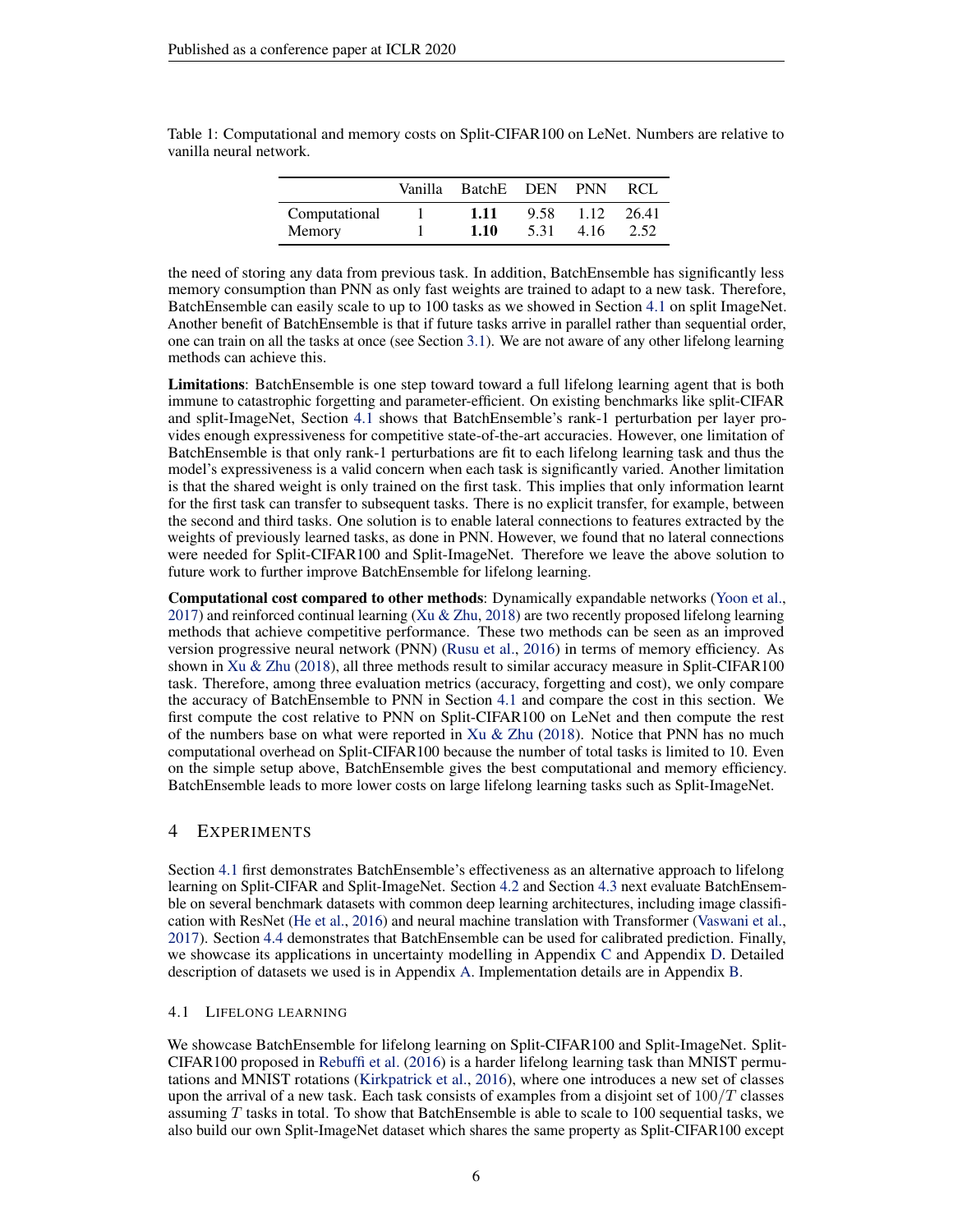|               | Vanilla | BatchE DEN |      | <b>PNN</b> | RCL   |
|---------------|---------|------------|------|------------|-------|
| Computational |         | 1.11       | 9.58 | 1.12       | 26.41 |
| Memory        |         | 1.10       | 5.31 | 4.16       | 2.52  |

<span id="page-5-1"></span>Table 1: Computational and memory costs on Split-CIFAR100 on LeNet. Numbers are relative to vanilla neural network.

the need of storing any data from previous task. In addition, BatchEnsemble has significantly less memory consumption than PNN as only fast weights are trained to adapt to a new task. Therefore, BatchEnsemble can easily scale to up to 100 tasks as we showed in Section [4.1](#page-5-0) on split ImageNet. Another benefit of BatchEnsemble is that if future tasks arrive in parallel rather than sequential order, one can train on all the tasks at once (see Section [3.1\)](#page-3-1). We are not aware of any other lifelong learning methods can achieve this.

Limitations: BatchEnsemble is one step toward toward a full lifelong learning agent that is both immune to catastrophic forgetting and parameter-efficient. On existing benchmarks like split-CIFAR and split-ImageNet, Section [4.1](#page-5-0) shows that BatchEnsemble's rank-1 perturbation per layer provides enough expressiveness for competitive state-of-the-art accuracies. However, one limitation of BatchEnsemble is that only rank-1 perturbations are fit to each lifelong learning task and thus the model's expressiveness is a valid concern when each task is significantly varied. Another limitation is that the shared weight is only trained on the first task. This implies that only information learnt for the first task can transfer to subsequent tasks. There is no explicit transfer, for example, between the second and third tasks. One solution is to enable lateral connections to features extracted by the weights of previously learned tasks, as done in PNN. However, we found that no lateral connections were needed for Split-CIFAR100 and Split-ImageNet. Therefore we leave the above solution to future work to further improve BatchEnsemble for lifelong learning.

Computational cost compared to other methods: Dynamically expandable networks [\(Yoon et al.,](#page-13-1)  $2017$ ) and reinforced continual learning [\(Xu & Zhu,](#page-12-13)  $2018$ ) are two recently proposed lifelong learning methods that achieve competitive performance. These two methods can be seen as an improved version progressive neural network (PNN) [\(Rusu et al.,](#page-12-12) [2016\)](#page-12-12) in terms of memory efficiency. As shown in [Xu & Zhu](#page-12-13) [\(2018\)](#page-12-13), all three methods result to similar accuracy measure in Split-CIFAR100 task. Therefore, among three evaluation metrics (accuracy, forgetting and cost), we only compare the accuracy of BatchEnsemble to PNN in Section [4.1](#page-5-0) and compare the cost in this section. We first compute the cost relative to PNN on Split-CIFAR100 on LeNet and then compute the rest of the numbers base on what were reported in Xu  $&$  Zhu [\(2018\)](#page-12-13). Notice that PNN has no much computational overhead on Split-CIFAR100 because the number of total tasks is limited to 10. Even on the simple setup above, BatchEnsemble gives the best computational and memory efficiency. BatchEnsemble leads to more lower costs on large lifelong learning tasks such as Split-ImageNet.

## <span id="page-5-2"></span>4 EXPERIMENTS

Section [4.1](#page-5-0) first demonstrates BatchEnsemble's effectiveness as an alternative approach to lifelong learning on Split-CIFAR and Split-ImageNet. Section [4.2](#page-6-0) and Section [4.3](#page-7-0) next evaluate BatchEnsemble on several benchmark datasets with common deep learning architectures, including image classification with ResNet [\(He et al.,](#page-10-7) [2016\)](#page-10-7) and neural machine translation with Transformer [\(Vaswani et al.,](#page-12-4) [2017\)](#page-12-4). Section [4.4](#page-8-0) demonstrates that BatchEnsemble can be used for calibrated prediction. Finally, we showcase its applications in uncertainty modelling in Appendix [C](#page-15-0) and Appendix [D.](#page-15-1) Detailed description of datasets we used is in Appendix [A.](#page-14-0) Implementation details are in Appendix [B.](#page-14-1)

#### <span id="page-5-0"></span>4.1 LIFELONG LEARNING

We showcase BatchEnsemble for lifelong learning on Split-CIFAR100 and Split-ImageNet. Split-CIFAR100 proposed in [Rebuffi et al.](#page-12-15) [\(2016\)](#page-12-15) is a harder lifelong learning task than MNIST permutations and MNIST rotations [\(Kirkpatrick et al.,](#page-11-13) [2016\)](#page-11-13), where one introduces a new set of classes upon the arrival of a new task. Each task consists of examples from a disjoint set of  $100/T$  classes assuming  $T$  tasks in total. To show that BatchEnsemble is able to scale to 100 sequential tasks, we also build our own Split-ImageNet dataset which shares the same property as Split-CIFAR100 except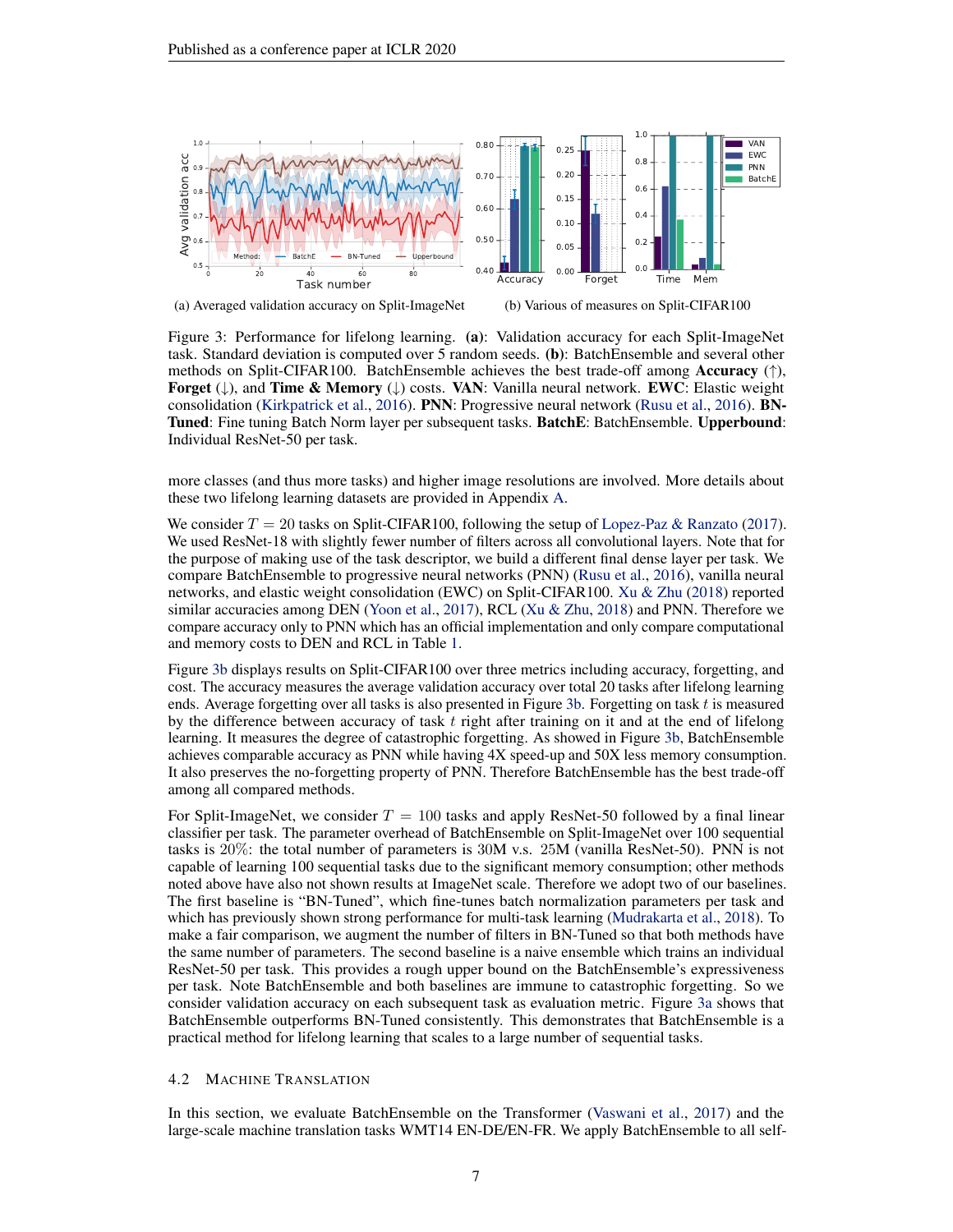<span id="page-6-1"></span>

(a) Averaged validation accuracy on Split-ImageNet (b) Various of measures on Split-CIFAR100

Figure 3: Performance for lifelong learning. (a): Validation accuracy for each Split-ImageNet task. Standard deviation is computed over 5 random seeds. (b): BatchEnsemble and several other methods on Split-CIFAR100. BatchEnsemble achieves the best trade-off among **Accuracy** ( $\uparrow$ ), **Forget** ( $\downarrow$ ), and **Time & Memory** ( $\downarrow$ ) costs. **VAN**: Vanilla neural network. **EWC**: Elastic weight consolidation [\(Kirkpatrick et al.,](#page-11-13) [2016\)](#page-11-13). PNN: Progressive neural network [\(Rusu et al.,](#page-12-12) [2016\)](#page-12-12). BN-Tuned: Fine tuning Batch Norm layer per subsequent tasks. BatchE: BatchEnsemble. Upperbound: Individual ResNet-50 per task.

more classes (and thus more tasks) and higher image resolutions are involved. More details about these two lifelong learning datasets are provided in Appendix [A.](#page-14-0)

We consider  $T = 20$  tasks on Split-CIFAR100, following the setup of [Lopez-Paz & Ranzato](#page-11-14) [\(2017\)](#page-11-14). We used ResNet-18 with slightly fewer number of filters across all convolutional layers. Note that for the purpose of making use of the task descriptor, we build a different final dense layer per task. We compare BatchEnsemble to progressive neural networks (PNN) [\(Rusu et al.,](#page-12-12) [2016\)](#page-12-12), vanilla neural networks, and elastic weight consolidation (EWC) on Split-CIFAR100. [Xu & Zhu](#page-12-13) [\(2018\)](#page-12-13) reported similar accuracies among DEN [\(Yoon et al.,](#page-13-1) [2017\)](#page-13-1), RCL [\(Xu & Zhu,](#page-12-13) [2018\)](#page-12-13) and PNN. Therefore we compare accuracy only to PNN which has an official implementation and only compare computational and memory costs to DEN and RCL in Table [1.](#page-5-1)

Figure [3b](#page-6-1) displays results on Split-CIFAR100 over three metrics including accuracy, forgetting, and cost. The accuracy measures the average validation accuracy over total 20 tasks after lifelong learning ends. Average forgetting over all tasks is also presented in Figure [3b.](#page-6-1) Forgetting on task  $t$  is measured by the difference between accuracy of task  $t$  right after training on it and at the end of lifelong learning. It measures the degree of catastrophic forgetting. As showed in Figure [3b,](#page-6-1) BatchEnsemble achieves comparable accuracy as PNN while having 4X speed-up and 50X less memory consumption. It also preserves the no-forgetting property of PNN. Therefore BatchEnsemble has the best trade-off among all compared methods.

For Split-ImageNet, we consider  $T = 100$  tasks and apply ResNet-50 followed by a final linear classifier per task. The parameter overhead of BatchEnsemble on Split-ImageNet over 100 sequential tasks is 20%: the total number of parameters is 30M v.s. 25M (vanilla ResNet-50). PNN is not capable of learning 100 sequential tasks due to the significant memory consumption; other methods noted above have also not shown results at ImageNet scale. Therefore we adopt two of our baselines. The first baseline is "BN-Tuned", which fine-tunes batch normalization parameters per task and which has previously shown strong performance for multi-task learning [\(Mudrakarta et al.,](#page-11-16) [2018\)](#page-11-16). To make a fair comparison, we augment the number of filters in BN-Tuned so that both methods have the same number of parameters. The second baseline is a naive ensemble which trains an individual ResNet-50 per task. This provides a rough upper bound on the BatchEnsemble's expressiveness per task. Note BatchEnsemble and both baselines are immune to catastrophic forgetting. So we consider validation accuracy on each subsequent task as evaluation metric. Figure [3a](#page-6-1) shows that BatchEnsemble outperforms BN-Tuned consistently. This demonstrates that BatchEnsemble is a practical method for lifelong learning that scales to a large number of sequential tasks.

#### <span id="page-6-0"></span>4.2 MACHINE TRANSLATION

In this section, we evaluate BatchEnsemble on the Transformer [\(Vaswani et al.,](#page-12-4) [2017\)](#page-12-4) and the large-scale machine translation tasks WMT14 EN-DE/EN-FR. We apply BatchEnsemble to all self-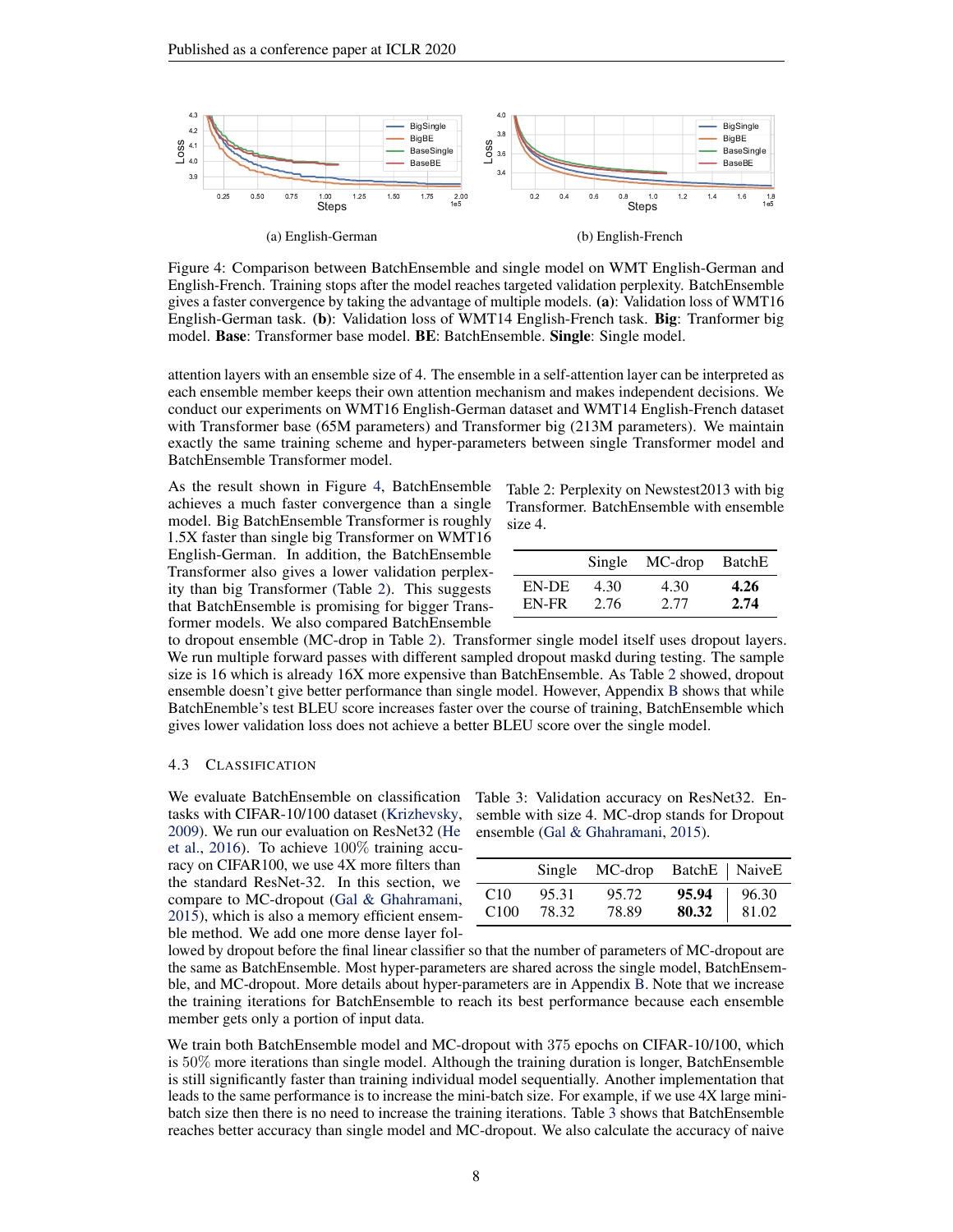<span id="page-7-1"></span>

Figure 4: Comparison between BatchEnsemble and single model on WMT English-German and English-French. Training stops after the model reaches targeted validation perplexity. BatchEnsemble gives a faster convergence by taking the advantage of multiple models. (a): Validation loss of WMT16 English-German task. (b): Validation loss of WMT14 English-French task. Big: Tranformer big model. Base: Transformer base model. BE: BatchEnsemble. Single: Single model.

attention layers with an ensemble size of 4. The ensemble in a self-attention layer can be interpreted as each ensemble member keeps their own attention mechanism and makes independent decisions. We conduct our experiments on WMT16 English-German dataset and WMT14 English-French dataset with Transformer base (65M parameters) and Transformer big (213M parameters). We maintain exactly the same training scheme and hyper-parameters between single Transformer model and BatchEnsemble Transformer model.

As the result shown in Figure [4,](#page-7-1) BatchEnsemble achieves a much faster convergence than a single model. Big BatchEnsemble Transformer is roughly 1.5X faster than single big Transformer on WMT16 English-German. In addition, the BatchEnsemble Transformer also gives a lower validation perplexity than big Transformer (Table [2\)](#page-7-2). This suggests that BatchEnsemble is promising for bigger Transformer models. We also compared BatchEnsemble

<span id="page-7-2"></span>Table 2: Perplexity on Newstest2013 with big Transformer. BatchEnsemble with ensemble size 4.

|       | Single | MC-drop BatchE |      |
|-------|--------|----------------|------|
| EN-DE | 4.30   | 4.30           | 4.26 |
| EN-FR | 2.76   | 2.77           | 2.74 |

to dropout ensemble (MC-drop in Table [2\)](#page-7-2). Transformer single model itself uses dropout layers. We run multiple forward passes with different sampled dropout maskd during testing. The sample size is 16 which is already 16X more expensive than BatchEnsemble. As Table [2](#page-7-2) showed, dropout ensemble doesn't give better performance than single model. However, Appendix [B](#page-14-1) shows that while BatchEnemble's test BLEU score increases faster over the course of training, BatchEnsemble which gives lower validation loss does not achieve a better BLEU score over the single model.

#### <span id="page-7-0"></span>4.3 CLASSIFICATION

[2009\)](#page-11-17). We run our evaluation on ResNet32 [\(He](#page-10-7) [et al.,](#page-10-7) [2016\)](#page-10-7). To achieve 100% training accuracy on CIFAR100, we use 4X more filters than the standard ResNet-32. In this section, we compare to MC-dropout [\(Gal & Ghahramani,](#page-10-5) [2015\)](#page-10-5), which is also a memory efficient ensemble method. We add one more dense layer fol-

We evaluate BatchEnsemble on classification Table 3: Validation accuracy on ResNet32. En-tasks with CIFAR-10/100 dataset [\(Krizhevsky,](#page-11-17) semble with size 4. MC-drop stands for Dropout ensemble [\(Gal & Ghahramani,](#page-10-5) [2015\)](#page-10-5).

<span id="page-7-3"></span>

|      |       | Single MC-drop BatchE   NaiveE |       |       |
|------|-------|--------------------------------|-------|-------|
| C10  | 95.31 | 95.72                          | 95.94 | 96.30 |
| C100 | 78.32 | 78.89                          | 80.32 | 81.02 |

lowed by dropout before the final linear classifier so that the number of parameters of MC-dropout are the same as BatchEnsemble. Most hyper-parameters are shared across the single model, BatchEnsemble, and MC-dropout. More details about hyper-parameters are in Appendix [B.](#page-14-1) Note that we increase the training iterations for BatchEnsemble to reach its best performance because each ensemble member gets only a portion of input data.

We train both BatchEnsemble model and MC-dropout with 375 epochs on CIFAR-10/100, which is 50% more iterations than single model. Although the training duration is longer, BatchEnsemble is still significantly faster than training individual model sequentially. Another implementation that leads to the same performance is to increase the mini-batch size. For example, if we use 4X large minibatch size then there is no need to increase the training iterations. Table [3](#page-7-3) shows that BatchEnsemble reaches better accuracy than single model and MC-dropout. We also calculate the accuracy of naive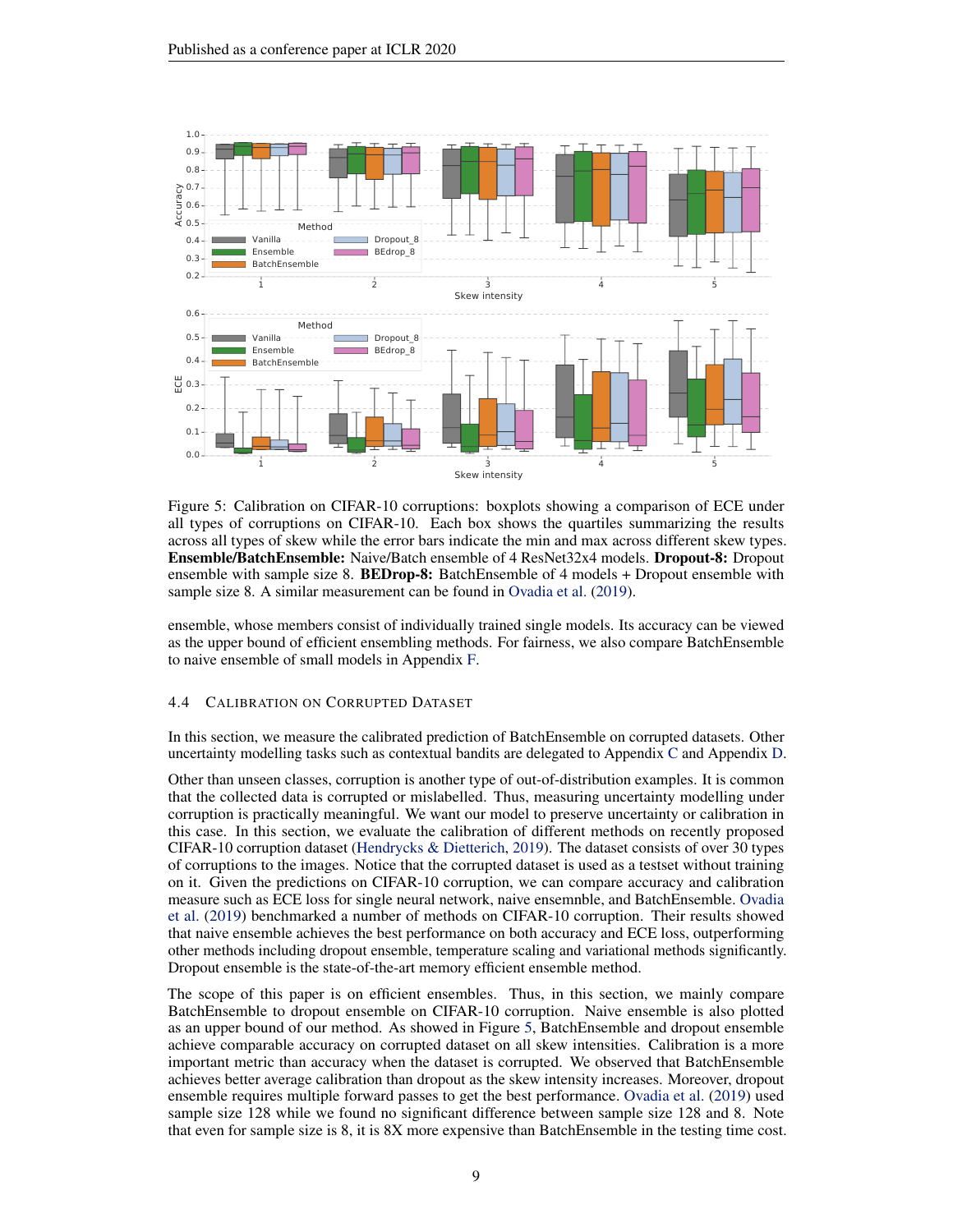<span id="page-8-1"></span>

Figure 5: Calibration on CIFAR-10 corruptions: boxplots showing a comparison of ECE under all types of corruptions on CIFAR-10. Each box shows the quartiles summarizing the results across all types of skew while the error bars indicate the min and max across different skew types. Ensemble/BatchEnsemble: Naive/Batch ensemble of 4 ResNet32x4 models. Dropout-8: Dropout ensemble with sample size 8. **BEDrop-8:** BatchEnsemble of 4 models + Dropout ensemble with sample size 8. A similar measurement can be found in [Ovadia et al.](#page-11-6) [\(2019\)](#page-11-6).

ensemble, whose members consist of individually trained single models. Its accuracy can be viewed as the upper bound of efficient ensembling methods. For fairness, we also compare BatchEnsemble to naive ensemble of small models in Appendix [F.](#page-18-0)

## <span id="page-8-0"></span>4.4 CALIBRATION ON CORRUPTED DATASET

In this section, we measure the calibrated prediction of BatchEnsemble on corrupted datasets. Other uncertainty modelling tasks such as contextual bandits are delegated to Appendix [C](#page-15-0) and Appendix [D.](#page-15-1)

Other than unseen classes, corruption is another type of out-of-distribution examples. It is common that the collected data is corrupted or mislabelled. Thus, measuring uncertainty modelling under corruption is practically meaningful. We want our model to preserve uncertainty or calibration in this case. In this section, we evaluate the calibration of different methods on recently proposed CIFAR-10 corruption dataset [\(Hendrycks & Dietterich,](#page-10-15) [2019\)](#page-10-15). The dataset consists of over 30 types of corruptions to the images. Notice that the corrupted dataset is used as a testset without training on it. Given the predictions on CIFAR-10 corruption, we can compare accuracy and calibration measure such as ECE loss for single neural network, naive ensemnble, and BatchEnsemble. [Ovadia](#page-11-6) [et al.](#page-11-6) [\(2019\)](#page-11-6) benchmarked a number of methods on CIFAR-10 corruption. Their results showed that naive ensemble achieves the best performance on both accuracy and ECE loss, outperforming other methods including dropout ensemble, temperature scaling and variational methods significantly. Dropout ensemble is the state-of-the-art memory efficient ensemble method.

The scope of this paper is on efficient ensembles. Thus, in this section, we mainly compare BatchEnsemble to dropout ensemble on CIFAR-10 corruption. Naive ensemble is also plotted as an upper bound of our method. As showed in Figure [5,](#page-8-1) BatchEnsemble and dropout ensemble achieve comparable accuracy on corrupted dataset on all skew intensities. Calibration is a more important metric than accuracy when the dataset is corrupted. We observed that BatchEnsemble achieves better average calibration than dropout as the skew intensity increases. Moreover, dropout ensemble requires multiple forward passes to get the best performance. [Ovadia et al.](#page-11-6) [\(2019\)](#page-11-6) used sample size 128 while we found no significant difference between sample size 128 and 8. Note that even for sample size is 8, it is 8X more expensive than BatchEnsemble in the testing time cost.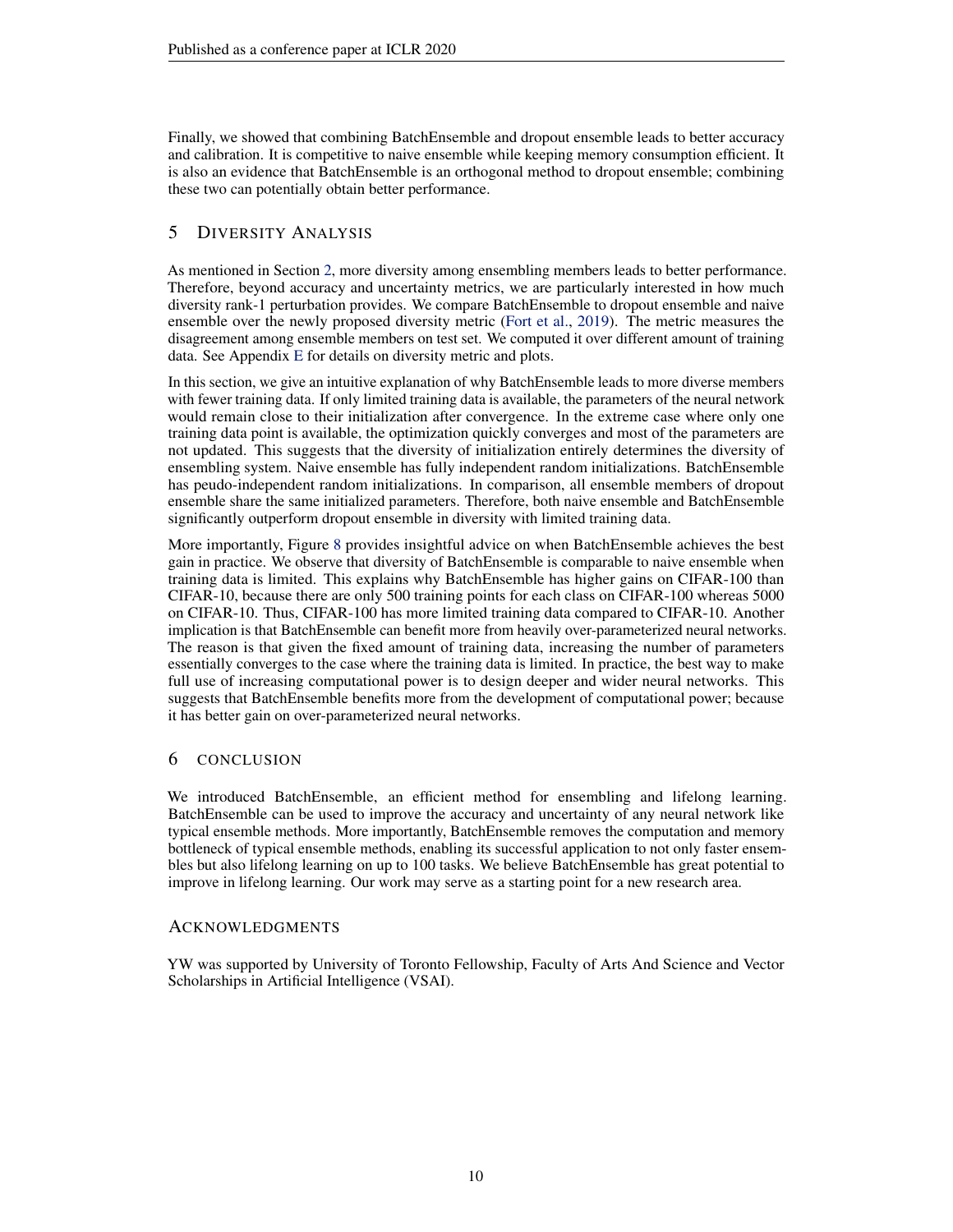Finally, we showed that combining BatchEnsemble and dropout ensemble leads to better accuracy and calibration. It is competitive to naive ensemble while keeping memory consumption efficient. It is also an evidence that BatchEnsemble is an orthogonal method to dropout ensemble; combining these two can potentially obtain better performance.

# <span id="page-9-0"></span>5 DIVERSITY ANALYSIS

As mentioned in Section [2,](#page-1-1) more diversity among ensembling members leads to better performance. Therefore, beyond accuracy and uncertainty metrics, we are particularly interested in how much diversity rank-1 perturbation provides. We compare BatchEnsemble to dropout ensemble and naive ensemble over the newly proposed diversity metric [\(Fort et al.,](#page-10-3) [2019\)](#page-10-3). The metric measures the disagreement among ensemble members on test set. We computed it over different amount of training data. See Appendix [E](#page-16-0) for details on diversity metric and plots.

In this section, we give an intuitive explanation of why BatchEnsemble leads to more diverse members with fewer training data. If only limited training data is available, the parameters of the neural network would remain close to their initialization after convergence. In the extreme case where only one training data point is available, the optimization quickly converges and most of the parameters are not updated. This suggests that the diversity of initialization entirely determines the diversity of ensembling system. Naive ensemble has fully independent random initializations. BatchEnsemble has peudo-independent random initializations. In comparison, all ensemble members of dropout ensemble share the same initialized parameters. Therefore, both naive ensemble and BatchEnsemble significantly outperform dropout ensemble in diversity with limited training data.

More importantly, Figure [8](#page-17-0) provides insightful advice on when BatchEnsemble achieves the best gain in practice. We observe that diversity of BatchEnsemble is comparable to naive ensemble when training data is limited. This explains why BatchEnsemble has higher gains on CIFAR-100 than CIFAR-10, because there are only 500 training points for each class on CIFAR-100 whereas 5000 on CIFAR-10. Thus, CIFAR-100 has more limited training data compared to CIFAR-10. Another implication is that BatchEnsemble can benefit more from heavily over-parameterized neural networks. The reason is that given the fixed amount of training data, increasing the number of parameters essentially converges to the case where the training data is limited. In practice, the best way to make full use of increasing computational power is to design deeper and wider neural networks. This suggests that BatchEnsemble benefits more from the development of computational power; because it has better gain on over-parameterized neural networks.

# 6 CONCLUSION

We introduced BatchEnsemble, an efficient method for ensembling and lifelong learning. BatchEnsemble can be used to improve the accuracy and uncertainty of any neural network like typical ensemble methods. More importantly, BatchEnsemble removes the computation and memory bottleneck of typical ensemble methods, enabling its successful application to not only faster ensembles but also lifelong learning on up to 100 tasks. We believe BatchEnsemble has great potential to improve in lifelong learning. Our work may serve as a starting point for a new research area.

# ACKNOWLEDGMENTS

YW was supported by University of Toronto Fellowship, Faculty of Arts And Science and Vector Scholarships in Artificial Intelligence (VSAI).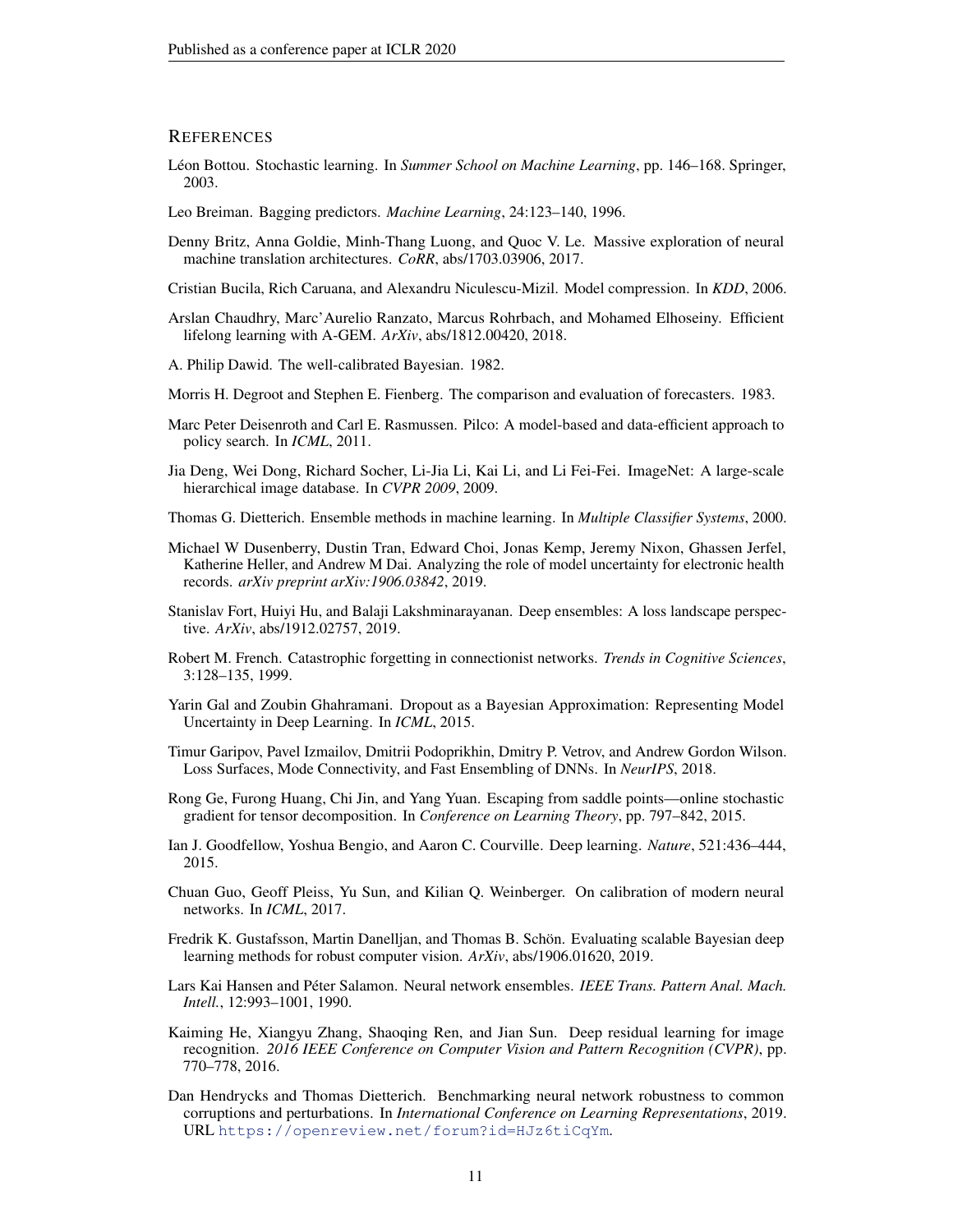## **REFERENCES**

- <span id="page-10-1"></span>Léon Bottou. Stochastic learning. In *Summer School on Machine Learning*, pp. 146–168. Springer, 2003.
- <span id="page-10-8"></span>Leo Breiman. Bagging predictors. *Machine Learning*, 24:123–140, 1996.
- <span id="page-10-20"></span>Denny Britz, Anna Goldie, Minh-Thang Luong, and Quoc V. Le. Massive exploration of neural machine translation architectures. *CoRR*, abs/1703.03906, 2017.
- <span id="page-10-11"></span>Cristian Bucila, Rich Caruana, and Alexandru Niculescu-Mizil. Model compression. In *KDD*, 2006.
- <span id="page-10-19"></span>Arslan Chaudhry, Marc'Aurelio Ranzato, Marcus Rohrbach, and Mohamed Elhoseiny. Efficient lifelong learning with A-GEM. *ArXiv*, abs/1812.00420, 2018.
- <span id="page-10-13"></span>A. Philip Dawid. The well-calibrated Bayesian. 1982.
- <span id="page-10-14"></span>Morris H. Degroot and Stephen E. Fienberg. The comparison and evaluation of forecasters. 1983.
- <span id="page-10-6"></span>Marc Peter Deisenroth and Carl E. Rasmussen. Pilco: A model-based and data-efficient approach to policy search. In *ICML*, 2011.
- <span id="page-10-21"></span>Jia Deng, Wei Dong, Richard Socher, Li-Jia Li, Kai Li, and Li Fei-Fei. ImageNet: A large-scale hierarchical image database. In *CVPR 2009*, 2009.
- <span id="page-10-10"></span>Thomas G. Dietterich. Ensemble methods in machine learning. In *Multiple Classifier Systems*, 2000.
- <span id="page-10-17"></span>Michael W Dusenberry, Dustin Tran, Edward Choi, Jonas Kemp, Jeremy Nixon, Ghassen Jerfel, Katherine Heller, and Andrew M Dai. Analyzing the role of model uncertainty for electronic health records. *arXiv preprint arXiv:1906.03842*, 2019.
- <span id="page-10-3"></span>Stanislav Fort, Huiyi Hu, and Balaji Lakshminarayanan. Deep ensembles: A loss landscape perspective. *ArXiv*, abs/1912.02757, 2019.
- <span id="page-10-18"></span>Robert M. French. Catastrophic forgetting in connectionist networks. *Trends in Cognitive Sciences*, 3:128–135, 1999.
- <span id="page-10-5"></span>Yarin Gal and Zoubin Ghahramani. Dropout as a Bayesian Approximation: Representing Model Uncertainty in Deep Learning. In *ICML*, 2015.
- <span id="page-10-12"></span>Timur Garipov, Pavel Izmailov, Dmitrii Podoprikhin, Dmitry P. Vetrov, and Andrew Gordon Wilson. Loss Surfaces, Mode Connectivity, and Fast Ensembling of DNNs. In *NeurIPS*, 2018.
- <span id="page-10-2"></span>Rong Ge, Furong Huang, Chi Jin, and Yang Yuan. Escaping from saddle points—online stochastic gradient for tensor decomposition. In *Conference on Learning Theory*, pp. 797–842, 2015.
- <span id="page-10-9"></span>Ian J. Goodfellow, Yoshua Bengio, and Aaron C. Courville. Deep learning. *Nature*, 521:436–444, 2015.
- <span id="page-10-16"></span>Chuan Guo, Geoff Pleiss, Yu Sun, and Kilian Q. Weinberger. On calibration of modern neural networks. In *ICML*, 2017.
- <span id="page-10-4"></span>Fredrik K. Gustafsson, Martin Danelljan, and Thomas B. Schön. Evaluating scalable Bayesian deep learning methods for robust computer vision. *ArXiv*, abs/1906.01620, 2019.
- <span id="page-10-0"></span>Lars Kai Hansen and Péter Salamon. Neural network ensembles. *IEEE Trans. Pattern Anal. Mach. Intell.*, 12:993–1001, 1990.
- <span id="page-10-7"></span>Kaiming He, Xiangyu Zhang, Shaoqing Ren, and Jian Sun. Deep residual learning for image recognition. *2016 IEEE Conference on Computer Vision and Pattern Recognition (CVPR)*, pp. 770–778, 2016.
- <span id="page-10-15"></span>Dan Hendrycks and Thomas Dietterich. Benchmarking neural network robustness to common corruptions and perturbations. In *International Conference on Learning Representations*, 2019. URL <https://openreview.net/forum?id=HJz6tiCqYm>.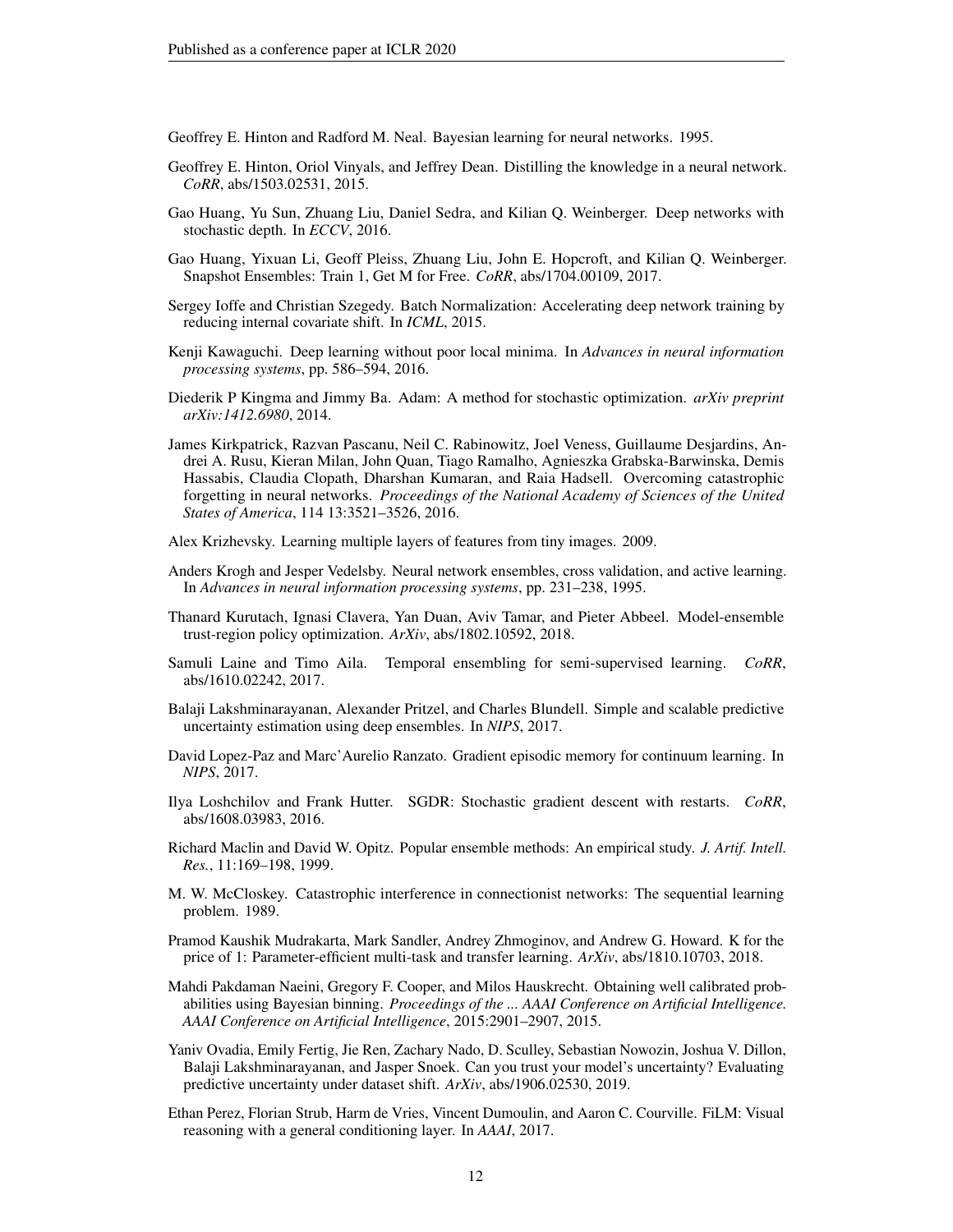<span id="page-11-11"></span>Geoffrey E. Hinton and Radford M. Neal. Bayesian learning for neural networks. 1995.

- <span id="page-11-8"></span>Geoffrey E. Hinton, Oriol Vinyals, and Jeffrey Dean. Distilling the knowledge in a neural network. *CoRR*, abs/1503.02531, 2015.
- <span id="page-11-18"></span>Gao Huang, Yu Sun, Zhuang Liu, Daniel Sedra, and Kilian Q. Weinberger. Deep networks with stochastic depth. In *ECCV*, 2016.
- <span id="page-11-3"></span>Gao Huang, Yixuan Li, Geoff Pleiss, Zhuang Liu, John E. Hopcroft, and Kilian Q. Weinberger. Snapshot Ensembles: Train 1, Get M for Free. *CoRR*, abs/1704.00109, 2017.
- <span id="page-11-19"></span>Sergey Ioffe and Christian Szegedy. Batch Normalization: Accelerating deep network training by reducing internal covariate shift. In *ICML*, 2015.
- <span id="page-11-2"></span>Kenji Kawaguchi. Deep learning without poor local minima. In *Advances in neural information processing systems*, pp. 586–594, 2016.
- <span id="page-11-1"></span>Diederik P Kingma and Jimmy Ba. Adam: A method for stochastic optimization. *arXiv preprint arXiv:1412.6980*, 2014.
- <span id="page-11-13"></span>James Kirkpatrick, Razvan Pascanu, Neil C. Rabinowitz, Joel Veness, Guillaume Desjardins, Andrei A. Rusu, Kieran Milan, John Quan, Tiago Ramalho, Agnieszka Grabska-Barwinska, Demis Hassabis, Claudia Clopath, Dharshan Kumaran, and Raia Hadsell. Overcoming catastrophic forgetting in neural networks. *Proceedings of the National Academy of Sciences of the United States of America*, 114 13:3521–3526, 2016.
- <span id="page-11-17"></span>Alex Krizhevsky. Learning multiple layers of features from tiny images. 2009.
- <span id="page-11-4"></span>Anders Krogh and Jesper Vedelsby. Neural network ensembles, cross validation, and active learning. In *Advances in neural information processing systems*, pp. 231–238, 1995.
- <span id="page-11-7"></span>Thanard Kurutach, Ignasi Clavera, Yan Duan, Aviv Tamar, and Pieter Abbeel. Model-ensemble trust-region policy optimization. *ArXiv*, abs/1802.10592, 2018.
- <span id="page-11-9"></span>Samuli Laine and Timo Aila. Temporal ensembling for semi-supervised learning. *CoRR*, abs/1610.02242, 2017.
- <span id="page-11-5"></span>Balaji Lakshminarayanan, Alexander Pritzel, and Charles Blundell. Simple and scalable predictive uncertainty estimation using deep ensembles. In *NIPS*, 2017.
- <span id="page-11-14"></span>David Lopez-Paz and Marc'Aurelio Ranzato. Gradient episodic memory for continuum learning. In *NIPS*, 2017.
- <span id="page-11-10"></span>Ilya Loshchilov and Frank Hutter. SGDR: Stochastic gradient descent with restarts. *CoRR*, abs/1608.03983, 2016.
- <span id="page-11-0"></span>Richard Maclin and David W. Opitz. Popular ensemble methods: An empirical study. *J. Artif. Intell. Res.*, 11:169–198, 1999.
- <span id="page-11-12"></span>M. W. McCloskey. Catastrophic interference in connectionist networks: The sequential learning problem. 1989.
- <span id="page-11-16"></span>Pramod Kaushik Mudrakarta, Mark Sandler, Andrey Zhmoginov, and Andrew G. Howard. K for the price of 1: Parameter-efficient multi-task and transfer learning. *ArXiv*, abs/1810.10703, 2018.
- <span id="page-11-20"></span>Mahdi Pakdaman Naeini, Gregory F. Cooper, and Milos Hauskrecht. Obtaining well calibrated probabilities using Bayesian binning. *Proceedings of the ... AAAI Conference on Artificial Intelligence. AAAI Conference on Artificial Intelligence*, 2015:2901–2907, 2015.
- <span id="page-11-6"></span>Yaniv Ovadia, Emily Fertig, Jie Ren, Zachary Nado, D. Sculley, Sebastian Nowozin, Joshua V. Dillon, Balaji Lakshminarayanan, and Jasper Snoek. Can you trust your model's uncertainty? Evaluating predictive uncertainty under dataset shift. *ArXiv*, abs/1906.02530, 2019.
- <span id="page-11-15"></span>Ethan Perez, Florian Strub, Harm de Vries, Vincent Dumoulin, and Aaron C. Courville. FiLM: Visual reasoning with a general conditioning layer. In *AAAI*, 2017.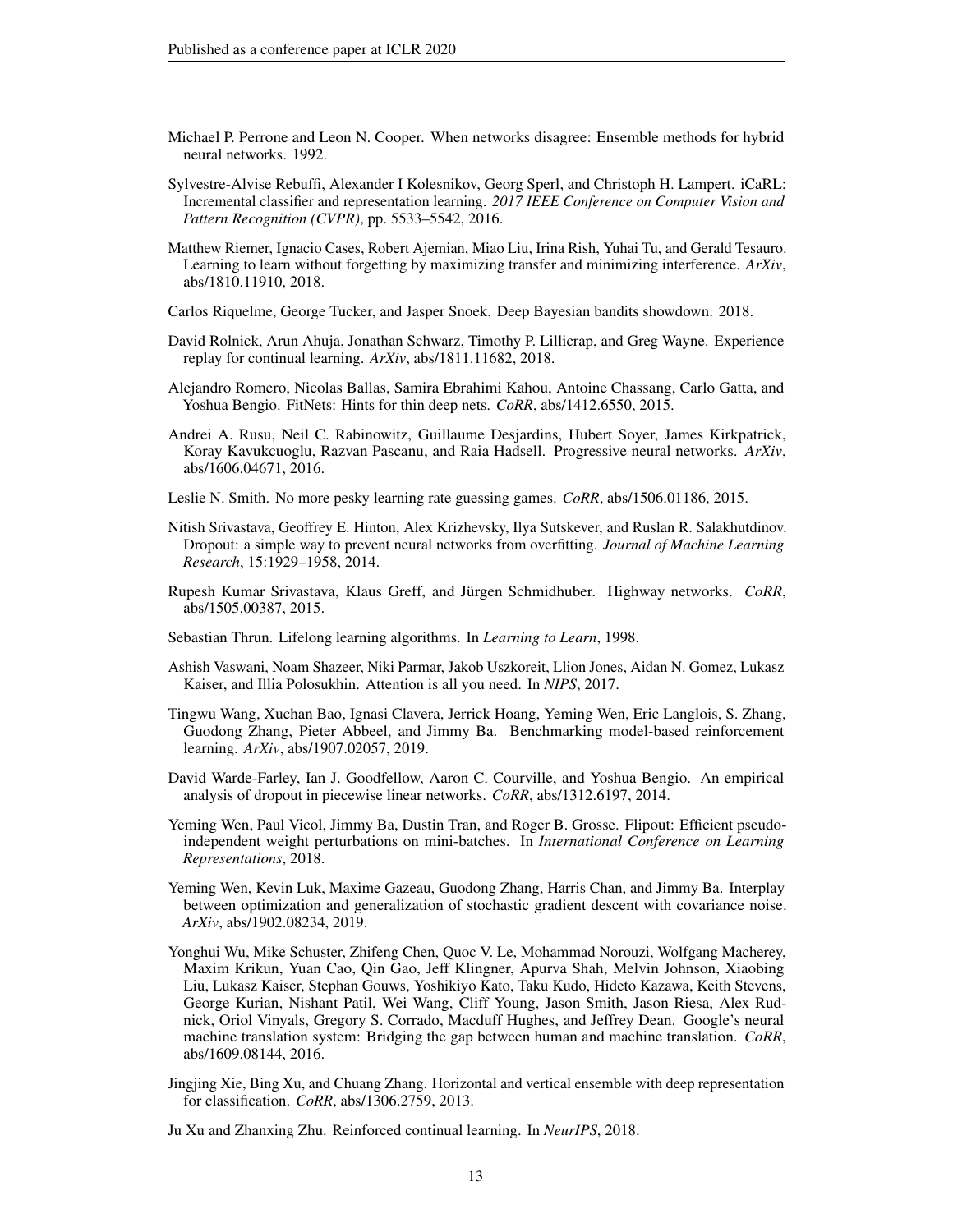- <span id="page-12-0"></span>Michael P. Perrone and Leon N. Cooper. When networks disagree: Ensemble methods for hybrid neural networks. 1992.
- <span id="page-12-15"></span>Sylvestre-Alvise Rebuffi, Alexander I Kolesnikov, Georg Sperl, and Christoph H. Lampert. iCaRL: Incremental classifier and representation learning. *2017 IEEE Conference on Computer Vision and Pattern Recognition (CVPR)*, pp. 5533–5542, 2016.
- <span id="page-12-11"></span>Matthew Riemer, Ignacio Cases, Robert Ajemian, Miao Liu, Irina Rish, Yuhai Tu, and Gerald Tesauro. Learning to learn without forgetting by maximizing transfer and minimizing interference. *ArXiv*, abs/1810.11910, 2018.
- <span id="page-12-8"></span>Carlos Riquelme, George Tucker, and Jasper Snoek. Deep Bayesian bandits showdown. 2018.
- <span id="page-12-10"></span>David Rolnick, Arun Ahuja, Jonathan Schwarz, Timothy P. Lillicrap, and Greg Wayne. Experience replay for continual learning. *ArXiv*, abs/1811.11682, 2018.
- <span id="page-12-16"></span>Alejandro Romero, Nicolas Ballas, Samira Ebrahimi Kahou, Antoine Chassang, Carlo Gatta, and Yoshua Bengio. FitNets: Hints for thin deep nets. *CoRR*, abs/1412.6550, 2015.
- <span id="page-12-12"></span>Andrei A. Rusu, Neil C. Rabinowitz, Guillaume Desjardins, Hubert Soyer, James Kirkpatrick, Koray Kavukcuoglu, Razvan Pascanu, and Raia Hadsell. Progressive neural networks. *ArXiv*, abs/1606.04671, 2016.
- <span id="page-12-5"></span>Leslie N. Smith. No more pesky learning rate guessing games. *CoRR*, abs/1506.01186, 2015.
- <span id="page-12-6"></span>Nitish Srivastava, Geoffrey E. Hinton, Alex Krizhevsky, Ilya Sutskever, and Ruslan R. Salakhutdinov. Dropout: a simple way to prevent neural networks from overfitting. *Journal of Machine Learning Research*, 15:1929–1958, 2014.
- <span id="page-12-17"></span>Rupesh Kumar Srivastava, Klaus Greff, and Jürgen Schmidhuber. Highway networks. *CoRR*, abs/1505.00387, 2015.
- <span id="page-12-9"></span>Sebastian Thrun. Lifelong learning algorithms. In *Learning to Learn*, 1998.
- <span id="page-12-4"></span>Ashish Vaswani, Noam Shazeer, Niki Parmar, Jakob Uszkoreit, Llion Jones, Aidan N. Gomez, Lukasz Kaiser, and Illia Polosukhin. Attention is all you need. In *NIPS*, 2017.
- <span id="page-12-3"></span>Tingwu Wang, Xuchan Bao, Ignasi Clavera, Jerrick Hoang, Yeming Wen, Eric Langlois, S. Zhang, Guodong Zhang, Pieter Abbeel, and Jimmy Ba. Benchmarking model-based reinforcement learning. *ArXiv*, abs/1907.02057, 2019.
- <span id="page-12-7"></span>David Warde-Farley, Ian J. Goodfellow, Aaron C. Courville, and Yoshua Bengio. An empirical analysis of dropout in piecewise linear networks. *CoRR*, abs/1312.6197, 2014.
- <span id="page-12-14"></span>Yeming Wen, Paul Vicol, Jimmy Ba, Dustin Tran, and Roger B. Grosse. Flipout: Efficient pseudoindependent weight perturbations on mini-batches. In *International Conference on Learning Representations*, 2018.
- <span id="page-12-1"></span>Yeming Wen, Kevin Luk, Maxime Gazeau, Guodong Zhang, Harris Chan, and Jimmy Ba. Interplay between optimization and generalization of stochastic gradient descent with covariance noise. *ArXiv*, abs/1902.08234, 2019.
- <span id="page-12-18"></span>Yonghui Wu, Mike Schuster, Zhifeng Chen, Quoc V. Le, Mohammad Norouzi, Wolfgang Macherey, Maxim Krikun, Yuan Cao, Qin Gao, Jeff Klingner, Apurva Shah, Melvin Johnson, Xiaobing Liu, Lukasz Kaiser, Stephan Gouws, Yoshikiyo Kato, Taku Kudo, Hideto Kazawa, Keith Stevens, George Kurian, Nishant Patil, Wei Wang, Cliff Young, Jason Smith, Jason Riesa, Alex Rudnick, Oriol Vinyals, Gregory S. Corrado, Macduff Hughes, and Jeffrey Dean. Google's neural machine translation system: Bridging the gap between human and machine translation. *CoRR*, abs/1609.08144, 2016.
- <span id="page-12-2"></span>Jingjing Xie, Bing Xu, and Chuang Zhang. Horizontal and vertical ensemble with deep representation for classification. *CoRR*, abs/1306.2759, 2013.
- <span id="page-12-13"></span>Ju Xu and Zhanxing Zhu. Reinforced continual learning. In *NeurIPS*, 2018.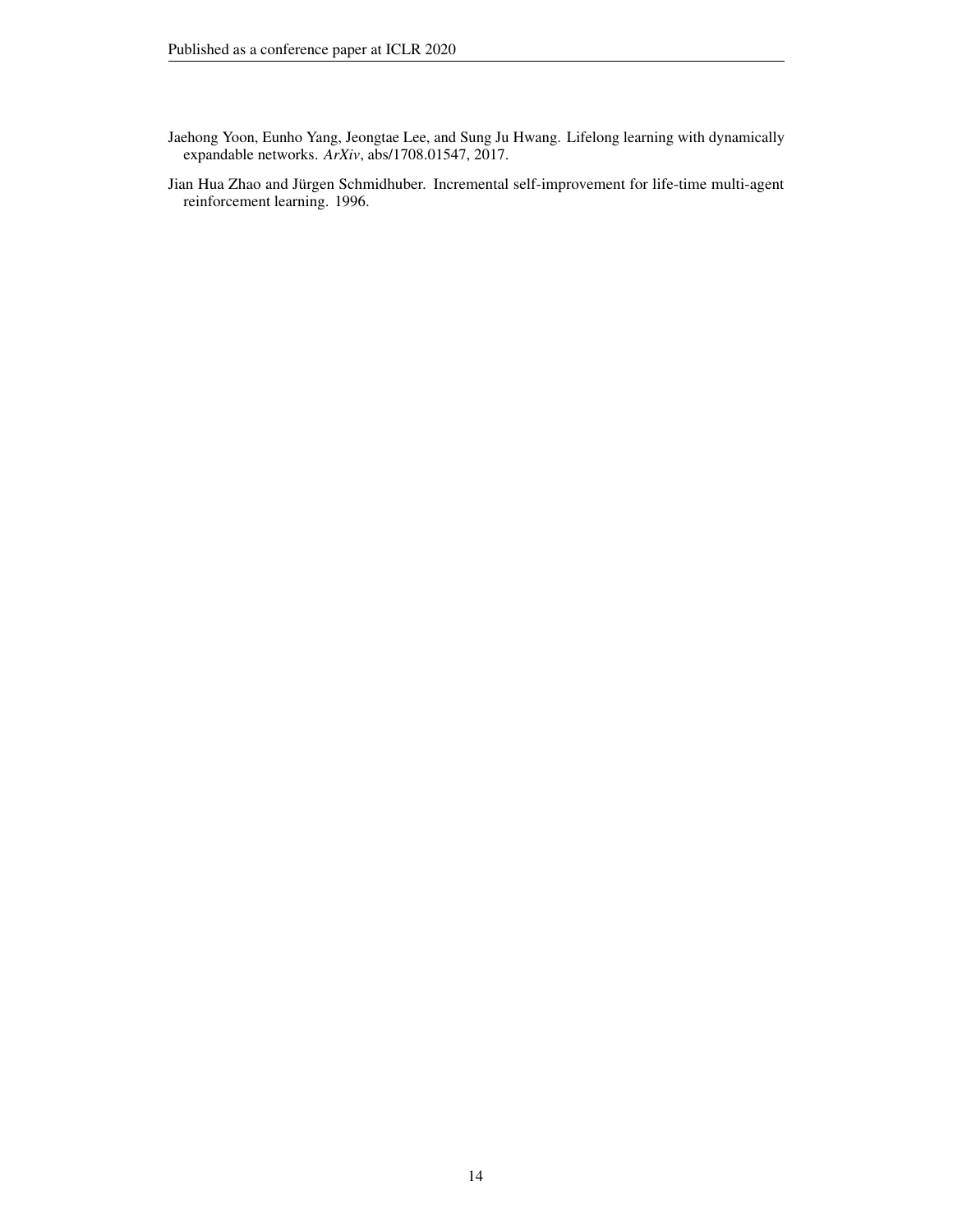- <span id="page-13-1"></span>Jaehong Yoon, Eunho Yang, Jeongtae Lee, and Sung Ju Hwang. Lifelong learning with dynamically expandable networks. *ArXiv*, abs/1708.01547, 2017.
- <span id="page-13-0"></span>Jian Hua Zhao and Jürgen Schmidhuber. Incremental self-improvement for life-time multi-agent reinforcement learning. 1996.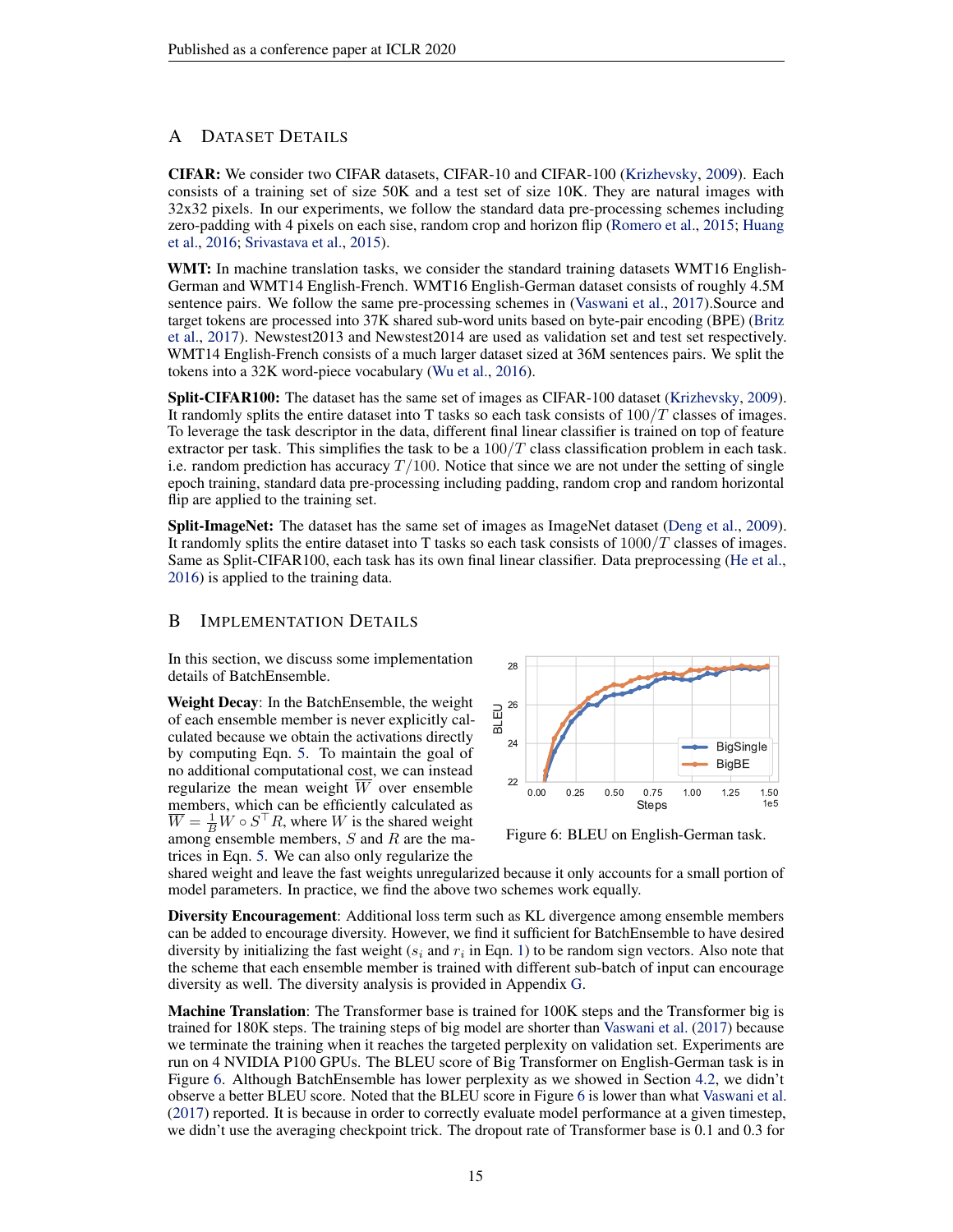# <span id="page-14-0"></span>A DATASET DETAILS

CIFAR: We consider two CIFAR datasets, CIFAR-10 and CIFAR-100 [\(Krizhevsky,](#page-11-17) [2009\)](#page-11-17). Each consists of a training set of size 50K and a test set of size 10K. They are natural images with 32x32 pixels. In our experiments, we follow the standard data pre-processing schemes including zero-padding with 4 pixels on each sise, random crop and horizon flip [\(Romero et al.,](#page-12-16) [2015;](#page-12-16) [Huang](#page-11-18) [et al.,](#page-11-18) [2016;](#page-11-18) [Srivastava et al.,](#page-12-17) [2015\)](#page-12-17).

WMT: In machine translation tasks, we consider the standard training datasets WMT16 English-German and WMT14 English-French. WMT16 English-German dataset consists of roughly 4.5M sentence pairs. We follow the same pre-processing schemes in [\(Vaswani et al.,](#page-12-4) [2017\)](#page-12-4).Source and target tokens are processed into 37K shared sub-word units based on byte-pair encoding (BPE) [\(Britz](#page-10-20) [et al.,](#page-10-20) [2017\)](#page-10-20). Newstest2013 and Newstest2014 are used as validation set and test set respectively. WMT14 English-French consists of a much larger dataset sized at 36M sentences pairs. We split the tokens into a 32K word-piece vocabulary [\(Wu et al.,](#page-12-18) [2016\)](#page-12-18).

**Split-CIFAR100:** The dataset has the same set of images as CIFAR-100 dataset [\(Krizhevsky,](#page-11-17) [2009\)](#page-11-17). It randomly splits the entire dataset into T tasks so each task consists of  $100/T$  classes of images. To leverage the task descriptor in the data, different final linear classifier is trained on top of feature extractor per task. This simplifies the task to be a  $100/T$  class classification problem in each task. i.e. random prediction has accuracy  $T/100$ . Notice that since we are not under the setting of single epoch training, standard data pre-processing including padding, random crop and random horizontal flip are applied to the training set.

Split-ImageNet: The dataset has the same set of images as ImageNet dataset [\(Deng et al.,](#page-10-21) [2009\)](#page-10-21). It randomly splits the entire dataset into T tasks so each task consists of  $1000/T$  classes of images. Same as Split-CIFAR100, each task has its own final linear classifier. Data preprocessing [\(He et al.,](#page-10-7) [2016\)](#page-10-7) is applied to the training data.

## <span id="page-14-1"></span>B IMPLEMENTATION DETAILS

In this section, we discuss some implementation details of BatchEnsemble.

Weight Decay: In the BatchEnsemble, the weight of each ensemble member is never explicitly calculated because we obtain the activations directly by computing Eqn. [5.](#page-4-0) To maintain the goal of no additional computational cost, we can instead regularize the mean weight W over ensemble members, which can be efficiently calculated as  $\overline{W} = \frac{1}{B}W \circ S^{\top}R$ , where W is the shared weight among ensemble members,  $S$  and  $R$  are the matrices in Eqn. [5.](#page-4-0) We can also only regularize the

<span id="page-14-2"></span>

Figure 6: BLEU on English-German task.

shared weight and leave the fast weights unregularized because it only accounts for a small portion of model parameters. In practice, we find the above two schemes work equally.

Diversity Encouragement: Additional loss term such as KL divergence among ensemble members can be added to encourage diversity. However, we find it sufficient for BatchEnsemble to have desired diversity by initializing the fast weight ( $s_i$  and  $r_i$  in Eqn. [1\)](#page-3-2) to be random sign vectors. Also note that the scheme that each ensemble member is trained with different sub-batch of input can encourage diversity as well. The diversity analysis is provided in Appendix [G.](#page-18-1)

Machine Translation: The Transformer base is trained for 100K steps and the Transformer big is trained for 180K steps. The training steps of big model are shorter than [Vaswani et al.](#page-12-4) [\(2017\)](#page-12-4) because we terminate the training when it reaches the targeted perplexity on validation set. Experiments are run on 4 NVIDIA P100 GPUs. The BLEU score of Big Transformer on English-German task is in Figure [6.](#page-14-2) Although BatchEnsemble has lower perplexity as we showed in Section [4.2,](#page-6-0) we didn't observe a better BLEU score. Noted that the BLEU score in Figure [6](#page-14-2) is lower than what [Vaswani et al.](#page-12-4) [\(2017\)](#page-12-4) reported. It is because in order to correctly evaluate model performance at a given timestep, we didn't use the averaging checkpoint trick. The dropout rate of Transformer base is 0.1 and 0.3 for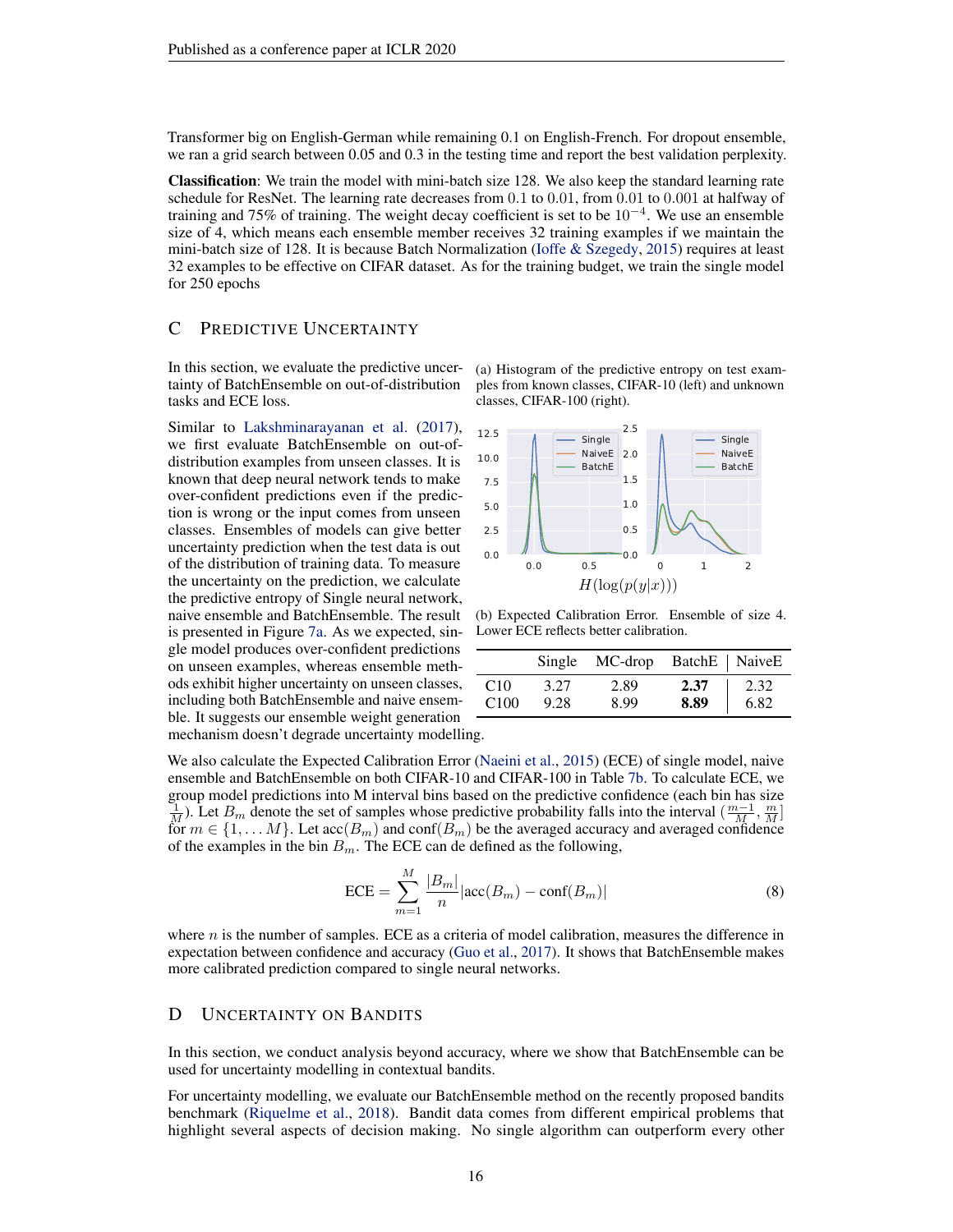Transformer big on English-German while remaining 0.1 on English-French. For dropout ensemble, we ran a grid search between 0.05 and 0.3 in the testing time and report the best validation perplexity.

Classification: We train the model with mini-batch size 128. We also keep the standard learning rate schedule for ResNet. The learning rate decreases from 0.1 to 0.01, from 0.01 to 0.001 at halfway of training and 75% of training. The weight decay coefficient is set to be  $10^{-4}$ . We use an ensemble size of 4, which means each ensemble member receives 32 training examples if we maintain the mini-batch size of 128. It is because Batch Normalization [\(Ioffe & Szegedy,](#page-11-19) [2015\)](#page-11-19) requires at least 32 examples to be effective on CIFAR dataset. As for the training budget, we train the single model for 250 epochs

## <span id="page-15-0"></span>C PREDICTIVE UNCERTAINTY

In this section, we evaluate the predictive uncertainty of BatchEnsemble on out-of-distribution tasks and ECE loss.

Similar to [Lakshminarayanan et al.](#page-11-5) [\(2017\)](#page-11-5), we first evaluate BatchEnsemble on out-ofdistribution examples from unseen classes. It is known that deep neural network tends to make over-confident predictions even if the prediction is wrong or the input comes from unseen classes. Ensembles of models can give better uncertainty prediction when the test data is out of the distribution of training data. To measure the uncertainty on the prediction, we calculate the predictive entropy of Single neural network, naive ensemble and BatchEnsemble. The result is presented in Figure [7a.](#page-15-2) As we expected, single model produces over-confident predictions on unseen examples, whereas ensemble methods exhibit higher uncertainty on unseen classes, including both BatchEnsemble and naive ensemble. It suggests our ensemble weight generation <span id="page-15-2"></span>(a) Histogram of the predictive entropy on test examples from known classes, CIFAR-10 (left) and unknown classes, CIFAR-100 (right).



(b) Expected Calibration Error. Ensemble of size 4. Lower ECE reflects better calibration.

|                  |      | Single MC-drop BatchE   NaiveE |      |      |
|------------------|------|--------------------------------|------|------|
| C <sub>10</sub>  | 3.27 | 2.89                           | 2.37 | 2.32 |
| C <sub>100</sub> | 9.28 | 8.99                           | 8.89 | 6.82 |

mechanism doesn't degrade uncertainty modelling.

We also calculate the Expected Calibration Error [\(Naeini et al.,](#page-11-20) [2015\)](#page-11-20) (ECE) of single model, naive ensemble and BatchEnsemble on both CIFAR-10 and CIFAR-100 in Table [7b.](#page-15-2) To calculate ECE, we group model predictions into M interval bins based on the predictive confidence (each bin has size  $\frac{1}{M}$ ). Let  $B_m$  denote the set of samples whose predictive probability falls into the interval  $(\frac{m-1}{M}, \frac{m}{M}]$ for  $m \in \{1, ..., M\}$ . Let  $\mathrm{acc}(B_m)$  and  $\mathrm{conf}(B_m)$  be the averaged accuracy and averaged confidence of the examples in the bin  $B_m$ . The ECE can de defined as the following,

$$
ECE = \sum_{m=1}^{M} \frac{|B_m|}{n} |\text{acc}(B_m) - \text{conf}(B_m)|
$$
 (8)

where  $n$  is the number of samples. ECE as a criteria of model calibration, measures the difference in expectation between confidence and accuracy [\(Guo et al.,](#page-10-16) [2017\)](#page-10-16). It shows that BatchEnsemble makes more calibrated prediction compared to single neural networks.

#### <span id="page-15-1"></span>D UNCERTAINTY ON BANDITS

In this section, we conduct analysis beyond accuracy, where we show that BatchEnsemble can be used for uncertainty modelling in contextual bandits.

For uncertainty modelling, we evaluate our BatchEnsemble method on the recently proposed bandits benchmark [\(Riquelme et al.,](#page-12-8) [2018\)](#page-12-8). Bandit data comes from different empirical problems that highlight several aspects of decision making. No single algorithm can outperform every other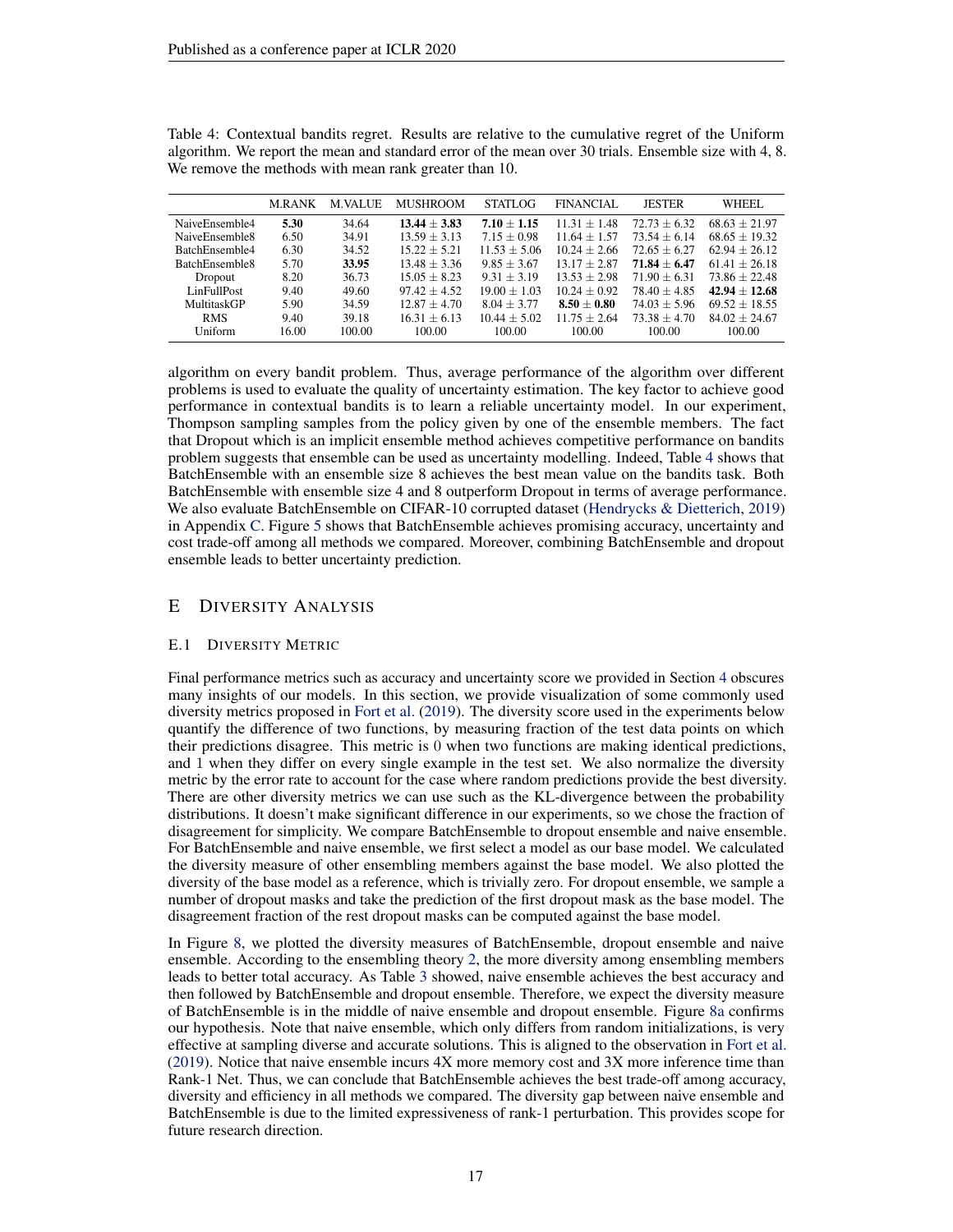|                | <b>MRANK</b> | <b>M.VALUE</b> | <b>MUSHROOM</b> | STATLOG        | <b>FINANCIAL</b> | <b>JESTER</b>  | WHEEL           |
|----------------|--------------|----------------|-----------------|----------------|------------------|----------------|-----------------|
| NaiveEnsemble4 | 5.30         | 34.64          | $13.44 + 3.83$  | $7.10 + 1.15$  | $11.31 + 1.48$   | $72.73 + 6.32$ | $68.63 + 21.97$ |
| NaiveEnsemble8 | 6.50         | 34.91          | $13.59 + 3.13$  | $7.15 + 0.98$  | $11.64 + 1.57$   | $73.54 + 6.14$ | $68.65 + 19.32$ |
| BatchEnsemble4 | 6.30         | 34.52          | $15.22 + 5.21$  | $11.53 + 5.06$ | $10.24 + 2.66$   | $72.65 + 6.27$ | $62.94 + 26.12$ |
| BatchEnsemble8 | 5.70         | 33.95          | $13.48 + 3.36$  | $9.85 + 3.67$  | $13.17 + 2.87$   | $71.84 + 6.47$ | $61.41 + 26.18$ |
| Dropout        | 8.20         | 36.73          | $15.05 + 8.23$  | $9.31 + 3.19$  | $13.53 + 2.98$   | $71.90 + 6.31$ | $73.86 + 22.48$ |
| LinFullPost    | 9.40         | 49.60          | $97.42 + 4.52$  | $19.00 + 1.03$ | $10.24 + 0.92$   | $78.40 + 4.85$ | $42.94 + 12.68$ |
| MultitaskGP    | 5.90         | 34.59          | $12.87 + 4.70$  | $8.04 + 3.77$  | $8.50 + 0.80$    | $74.03 + 5.96$ | $69.52 + 18.55$ |
| <b>RMS</b>     | 9.40         | 39.18          | $16.31 + 6.13$  | $10.44 + 5.02$ | $11.75 + 2.64$   | $73.38 + 4.70$ | $84.02 + 24.67$ |
| Uniform        | 16.00        | 100.00         | 100.00          | 100.00         | 100.00           | 100.00         | 100.00          |

<span id="page-16-1"></span>Table 4: Contextual bandits regret. Results are relative to the cumulative regret of the Uniform algorithm. We report the mean and standard error of the mean over 30 trials. Ensemble size with 4, 8. We remove the methods with mean rank greater than 10.

algorithm on every bandit problem. Thus, average performance of the algorithm over different problems is used to evaluate the quality of uncertainty estimation. The key factor to achieve good performance in contextual bandits is to learn a reliable uncertainty model. In our experiment, Thompson sampling samples from the policy given by one of the ensemble members. The fact that Dropout which is an implicit ensemble method achieves competitive performance on bandits problem suggests that ensemble can be used as uncertainty modelling. Indeed, Table [4](#page-16-1) shows that BatchEnsemble with an ensemble size 8 achieves the best mean value on the bandits task. Both BatchEnsemble with ensemble size 4 and 8 outperform Dropout in terms of average performance. We also evaluate BatchEnsemble on CIFAR-10 corrupted dataset [\(Hendrycks & Dietterich,](#page-10-15) [2019\)](#page-10-15) in Appendix [C.](#page-15-0) Figure [5](#page-8-1) shows that BatchEnsemble achieves promising accuracy, uncertainty and cost trade-off among all methods we compared. Moreover, combining BatchEnsemble and dropout ensemble leads to better uncertainty prediction.

# <span id="page-16-0"></span>E DIVERSITY ANALYSIS

#### <span id="page-16-2"></span>E.1 DIVERSITY METRIC

Final performance metrics such as accuracy and uncertainty score we provided in Section [4](#page-5-2) obscures many insights of our models. In this section, we provide visualization of some commonly used diversity metrics proposed in [Fort et al.](#page-10-3) [\(2019\)](#page-10-3). The diversity score used in the experiments below quantify the difference of two functions, by measuring fraction of the test data points on which their predictions disagree. This metric is 0 when two functions are making identical predictions, and 1 when they differ on every single example in the test set. We also normalize the diversity metric by the error rate to account for the case where random predictions provide the best diversity. There are other diversity metrics we can use such as the KL-divergence between the probability distributions. It doesn't make significant difference in our experiments, so we chose the fraction of disagreement for simplicity. We compare BatchEnsemble to dropout ensemble and naive ensemble. For BatchEnsemble and naive ensemble, we first select a model as our base model. We calculated the diversity measure of other ensembling members against the base model. We also plotted the diversity of the base model as a reference, which is trivially zero. For dropout ensemble, we sample a number of dropout masks and take the prediction of the first dropout mask as the base model. The disagreement fraction of the rest dropout masks can be computed against the base model.

In Figure [8,](#page-17-0) we plotted the diversity measures of BatchEnsemble, dropout ensemble and naive ensemble. According to the ensembling theory [2,](#page-1-1) the more diversity among ensembling members leads to better total accuracy. As Table [3](#page-7-3) showed, naive ensemble achieves the best accuracy and then followed by BatchEnsemble and dropout ensemble. Therefore, we expect the diversity measure of BatchEnsemble is in the middle of naive ensemble and dropout ensemble. Figure [8a](#page-17-0) confirms our hypothesis. Note that naive ensemble, which only differs from random initializations, is very effective at sampling diverse and accurate solutions. This is aligned to the observation in [Fort et al.](#page-10-3) [\(2019\)](#page-10-3). Notice that naive ensemble incurs 4X more memory cost and 3X more inference time than Rank-1 Net. Thus, we can conclude that BatchEnsemble achieves the best trade-off among accuracy, diversity and efficiency in all methods we compared. The diversity gap between naive ensemble and BatchEnsemble is due to the limited expressiveness of rank-1 perturbation. This provides scope for future research direction.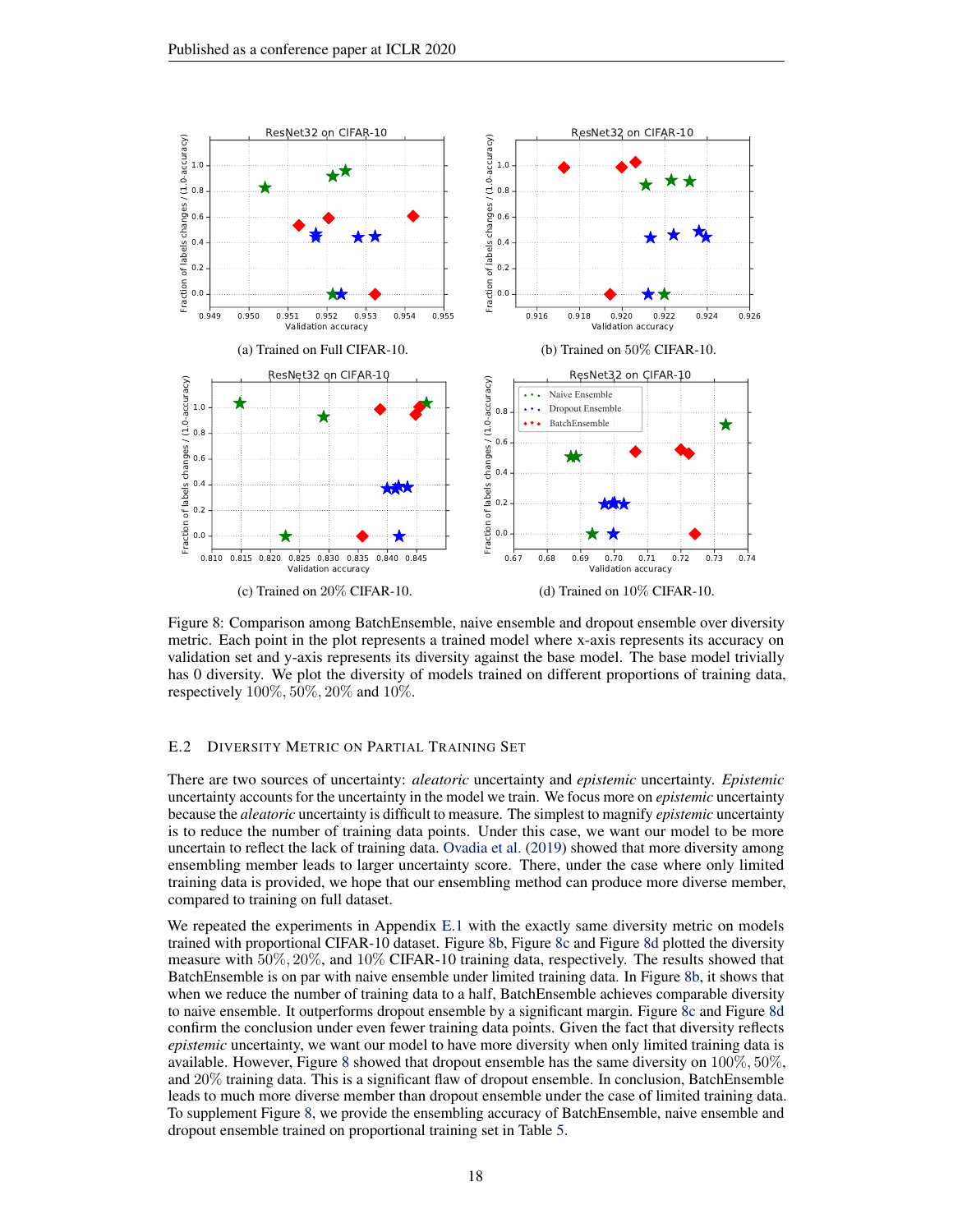<span id="page-17-0"></span>

Figure 8: Comparison among BatchEnsemble, naive ensemble and dropout ensemble over diversity metric. Each point in the plot represents a trained model where x-axis represents its accuracy on validation set and y-axis represents its diversity against the base model. The base model trivially has 0 diversity. We plot the diversity of models trained on different proportions of training data, respectively 100%, 50%, 20% and 10%.

## E.2 DIVERSITY METRIC ON PARTIAL TRAINING SET

There are two sources of uncertainty: *aleatoric* uncertainty and *epistemic* uncertainty. *Epistemic* uncertainty accounts for the uncertainty in the model we train. We focus more on *epistemic* uncertainty because the *aleatoric* uncertainty is difficult to measure. The simplest to magnify *epistemic* uncertainty is to reduce the number of training data points. Under this case, we want our model to be more uncertain to reflect the lack of training data. [Ovadia et al.](#page-11-6) [\(2019\)](#page-11-6) showed that more diversity among ensembling member leads to larger uncertainty score. There, under the case where only limited training data is provided, we hope that our ensembling method can produce more diverse member, compared to training on full dataset.

We repeated the experiments in Appendix [E.1](#page-16-2) with the exactly same diversity metric on models trained with proportional CIFAR-10 dataset. Figure [8b,](#page-17-0) Figure [8c](#page-17-0) and Figure [8d](#page-17-0) plotted the diversity measure with 50%, 20%, and 10% CIFAR-10 training data, respectively. The results showed that BatchEnsemble is on par with naive ensemble under limited training data. In Figure [8b,](#page-17-0) it shows that when we reduce the number of training data to a half, BatchEnsemble achieves comparable diversity to naive ensemble. It outperforms dropout ensemble by a significant margin. Figure [8c](#page-17-0) and Figure [8d](#page-17-0) confirm the conclusion under even fewer training data points. Given the fact that diversity reflects *epistemic* uncertainty, we want our model to have more diversity when only limited training data is available. However, Figure [8](#page-17-0) showed that dropout ensemble has the same diversity on  $100\%, 50\%,$ and 20% training data. This is a significant flaw of dropout ensemble. In conclusion, BatchEnsemble leads to much more diverse member than dropout ensemble under the case of limited training data. To supplement Figure [8,](#page-17-0) we provide the ensembling accuracy of BatchEnsemble, naive ensemble and dropout ensemble trained on proportional training set in Table [5.](#page-18-2)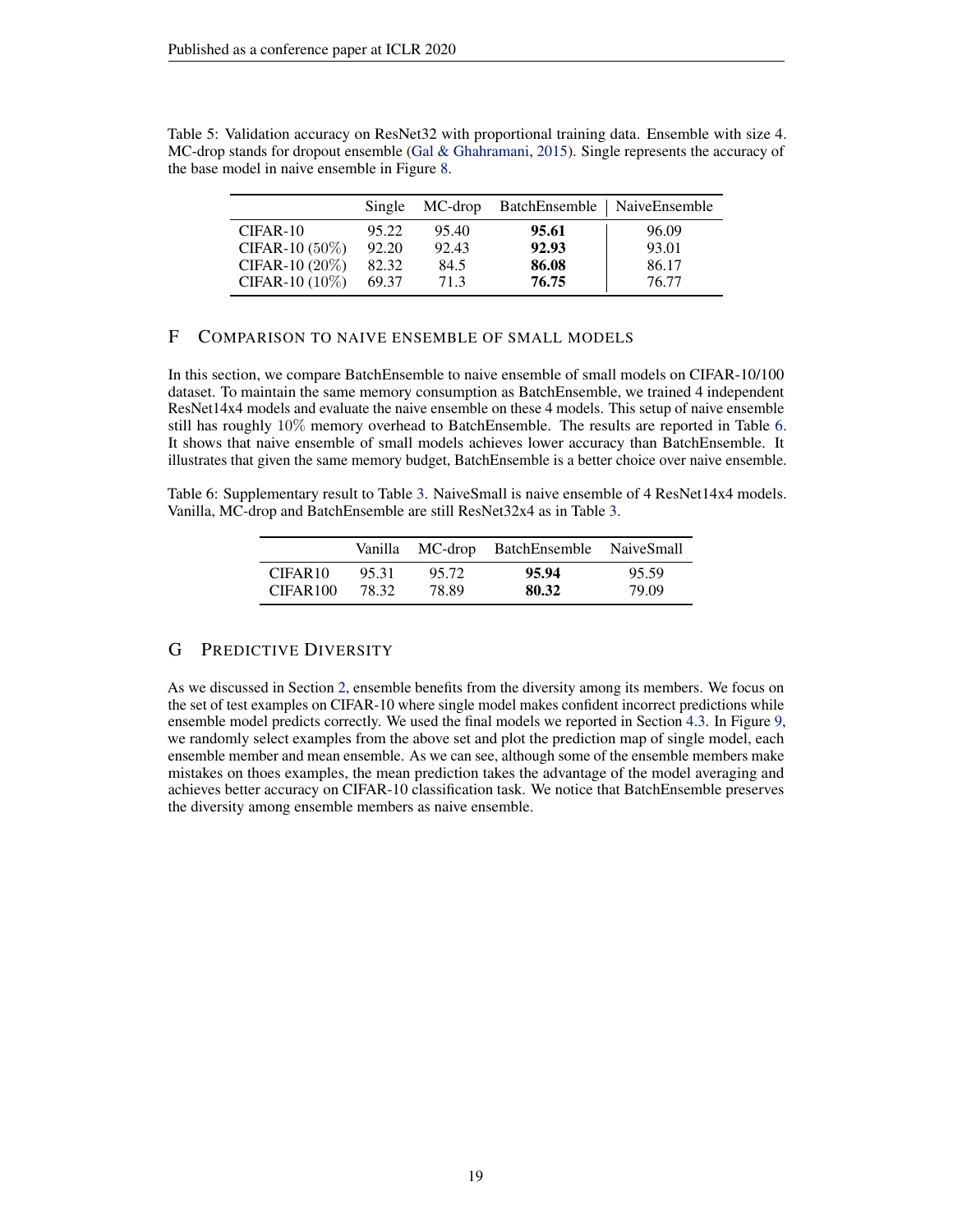<span id="page-18-2"></span>Table 5: Validation accuracy on ResNet32 with proportional training data. Ensemble with size 4. MC-drop stands for dropout ensemble [\(Gal & Ghahramani,](#page-10-5) [2015\)](#page-10-5). Single represents the accuracy of the base model in naive ensemble in Figure [8.](#page-17-0)

|                   | Single | MC-drop | BatchEnsemble   NaiveEnsemble |       |
|-------------------|--------|---------|-------------------------------|-------|
| $CIFAR-10$        | 95.22  | 95.40   | 95.61                         | 96.09 |
| CIFAR-10 $(50\%)$ | 92.20  | 92.43   | 92.93                         | 93.01 |
| CIFAR-10 (20%)    | 82.32  | 84.5    | 86.08                         | 86.17 |
| CIFAR-10 (10%)    | 69.37  | 71.3    | 76.75                         | 76.77 |

## <span id="page-18-0"></span>F COMPARISON TO NAIVE ENSEMBLE OF SMALL MODELS

In this section, we compare BatchEnsemble to naive ensemble of small models on CIFAR-10/100 dataset. To maintain the same memory consumption as BatchEnsemble, we trained 4 independent ResNet14x4 models and evaluate the naive ensemble on these 4 models. This setup of naive ensemble still has roughly 10% memory overhead to BatchEnsemble. The results are reported in Table [6.](#page-18-3) It shows that naive ensemble of small models achieves lower accuracy than BatchEnsemble. It illustrates that given the same memory budget, BatchEnsemble is a better choice over naive ensemble.

<span id="page-18-3"></span>Table 6: Supplementary result to Table [3.](#page-7-3) NaiveSmall is naive ensemble of 4 ResNet14x4 models. Vanilla, MC-drop and BatchEnsemble are still ResNet32x4 as in Table [3.](#page-7-3)

|                      | Vanilla |       | MC-drop BatchEnsemble NaiveSmall |       |
|----------------------|---------|-------|----------------------------------|-------|
| CIFAR <sub>10</sub>  | 95.31   | 95.72 | 95.94                            | 95.59 |
| CIFAR <sub>100</sub> | 78.32   | 78.89 | 80.32                            | 79.09 |

# <span id="page-18-1"></span>G PREDICTIVE DIVERSITY

As we discussed in Section [2,](#page-1-1) ensemble benefits from the diversity among its members. We focus on the set of test examples on CIFAR-10 where single model makes confident incorrect predictions while ensemble model predicts correctly. We used the final models we reported in Section [4.3.](#page-7-0) In Figure [9,](#page-19-0) we randomly select examples from the above set and plot the prediction map of single model, each ensemble member and mean ensemble. As we can see, although some of the ensemble members make mistakes on thoes examples, the mean prediction takes the advantage of the model averaging and achieves better accuracy on CIFAR-10 classification task. We notice that BatchEnsemble preserves the diversity among ensemble members as naive ensemble.